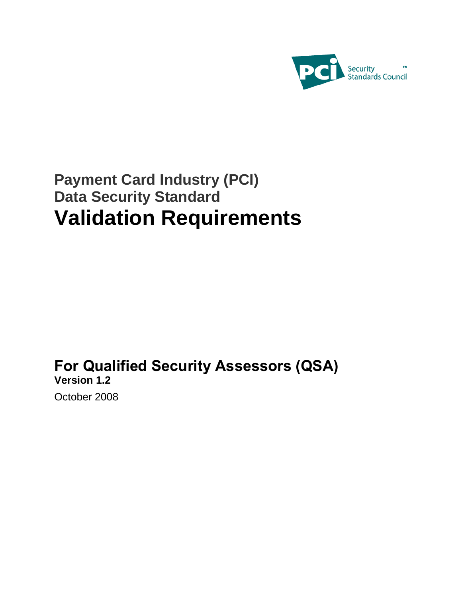

# **Payment Card Industry (PCI) Data Security Standard Validation Requirements**

**For Qualified Security Assessors (QSA) Version 1.2**

October 2008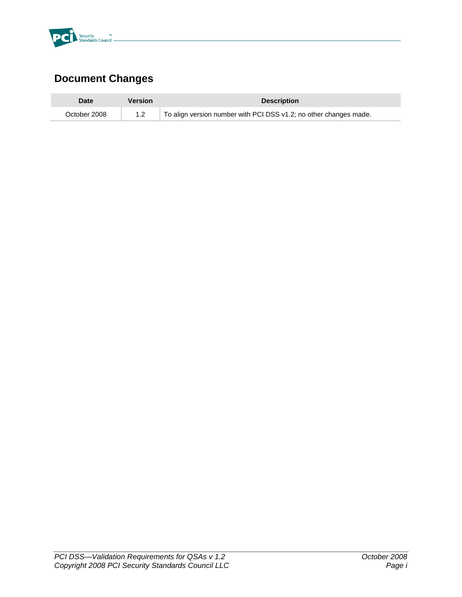

## **Document Changes**

| <b>Date</b>  | <b>Version</b> | <b>Description</b>                                                |
|--------------|----------------|-------------------------------------------------------------------|
| October 2008 |                | To align version number with PCI DSS v1.2; no other changes made. |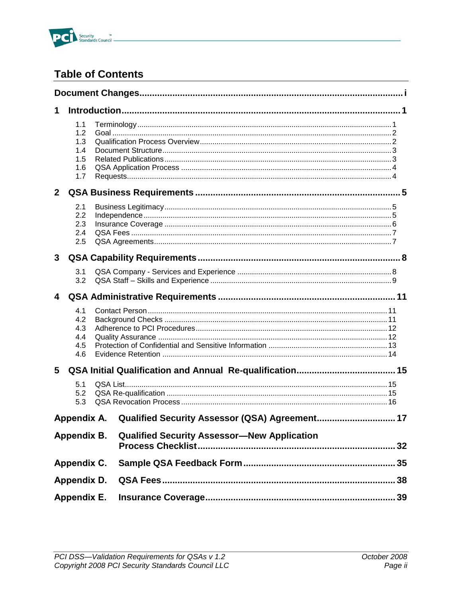

## **Table of Contents**

| 1              |                                               |                                                    |  |
|----------------|-----------------------------------------------|----------------------------------------------------|--|
|                | 1.1<br>1.2<br>1.3<br>1.4<br>1.5<br>1.6<br>1.7 |                                                    |  |
| 2 <sup>1</sup> |                                               |                                                    |  |
|                | 2.1<br>2.2<br>2.3<br>2.4<br>2.5               |                                                    |  |
| 3              |                                               |                                                    |  |
|                | 3.1<br>3.2                                    |                                                    |  |
| 4              |                                               |                                                    |  |
|                | 4.1<br>4.2<br>4.3<br>4.4<br>4.5<br>4.6        |                                                    |  |
| 5              |                                               |                                                    |  |
|                | 5.1<br>5.2<br>5.3                             |                                                    |  |
|                | Appendix A.                                   | Qualified Security Assessor (QSA) Agreement 17     |  |
|                | Appendix B.                                   | <b>Qualified Security Assessor-New Application</b> |  |
|                | Appendix C.                                   |                                                    |  |
|                | Appendix D.                                   |                                                    |  |
|                | Appendix E.                                   |                                                    |  |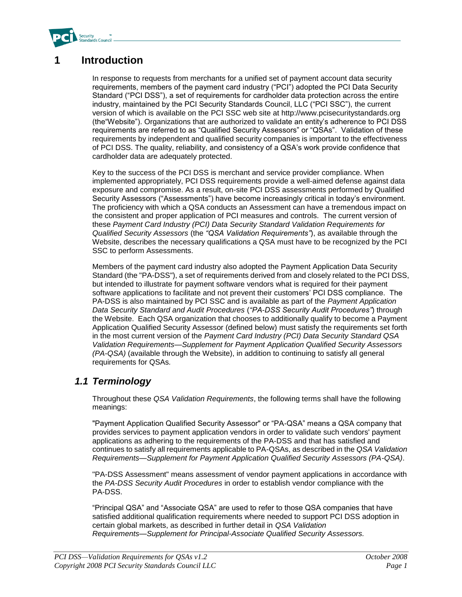

## **1 Introduction**

In response to requests from merchants for a unified set of payment account data security requirements, members of the payment card industry ("PCI") adopted the PCI Data Security Standard ("PCI DSS"), a set of requirements for cardholder data protection across the entire industry, maintained by the PCI Security Standards Council, LLC ("PCI SSC"), the current version of which is available on the PCI SSC web site at http://www.pcisecuritystandards.org (the"Website"). Organizations that are authorized to validate an entity's adherence to PCI DSS requirements are referred to as "Qualified Security Assessors" or "QSAs". Validation of these requirements by independent and qualified security companies is important to the effectiveness of PCI DSS. The quality, reliability, and consistency of a QSA's work provide confidence that cardholder data are adequately protected.

Key to the success of the PCI DSS is merchant and service provider compliance. When implemented appropriately, PCI DSS requirements provide a well-aimed defense against data exposure and compromise. As a result, on-site PCI DSS assessments performed by Qualified Security Assessors ("Assessments") have become increasingly critical in today's environment. The proficiency with which a QSA conducts an Assessment can have a tremendous impact on the consistent and proper application of PCI measures and controls. The current version of these *Payment Card Industry (PCI) Data Security Standard Validation Requirements for Qualified Security Assessors* (the *"QSA Validation Requirements"*), as available through the Website, describes the necessary qualifications a QSA must have to be recognized by the PCI SSC to perform Assessments.

Members of the payment card industry also adopted the Payment Application Data Security Standard (the "PA-DSS"), a set of requirements derived from and closely related to the PCI DSS, but intended to illustrate for payment software vendors what is required for their payment software applications to facilitate and not prevent their customers' PCI DSS compliance. The PA-DSS is also maintained by PCI SSC and is available as part of the *Payment Application Data Security Standard and Audit Procedures* (*"PA-DSS Security Audit Procedures"*) through the Website. Each QSA organization that chooses to additionally qualify to become a Payment Application Qualified Security Assessor (defined below) must satisfy the requirements set forth in the most current version of the *Payment Card Industry (PCI) Data Security Standard QSA Validation Requirements—Supplement for Payment Application Qualified Security Assessors (PA-QSA)* (available through the Website), in addition to continuing to satisfy all general requirements for QSAs*.*

### *1.1 Terminology*

Throughout these *QSA Validation Requirements*, the following terms shall have the following meanings:

"Payment Application Qualified Security Assessor" or "PA-QSA" means a QSA company that provides services to payment application vendors in order to validate such vendors' payment applications as adhering to the requirements of the PA-DSS and that has satisfied and continues to satisfy all requirements applicable to PA-QSAs, as described in the *QSA Validation Requirements—Supplement for Payment Application Qualified Security Assessors (PA-QSA)*.

"PA-DSS Assessment" means assessment of vendor payment applications in accordance with the *PA-DSS Security Audit Procedures* in order to establish vendor compliance with the PA-DSS.

"Principal QSA" and "Associate QSA" are used to refer to those QSA companies that have satisfied additional qualification requirements where needed to support PCI DSS adoption in certain global markets, as described in further detail in *QSA Validation Requirements—Supplement for Principal-Associate Qualified Security Assessors.*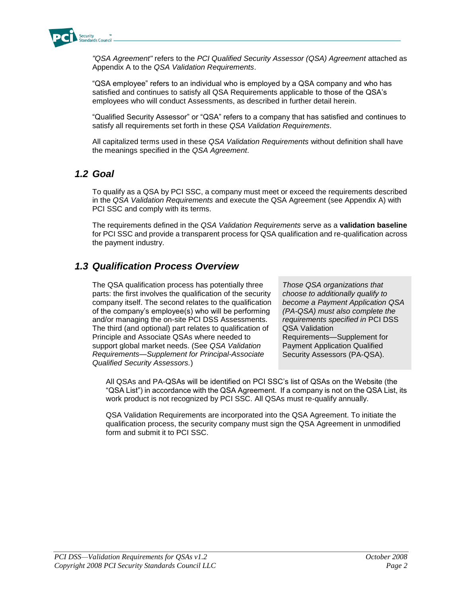

*"QSA Agreement"* refers to the *PCI Qualified Security Assessor (QSA) Agreement* attached as Appendix A to the *QSA Validation Requirements*.

"QSA employee" refers to an individual who is employed by a QSA company and who has satisfied and continues to satisfy all QSA Requirements applicable to those of the QSA's employees who will conduct Assessments, as described in further detail herein.

"Qualified Security Assessor" or "QSA" refers to a company that has satisfied and continues to satisfy all requirements set forth in these *QSA Validation Requirements*.

All capitalized terms used in these *QSA Validation Requirements* without definition shall have the meanings specified in the *QSA Agreement*.

### *1.2 Goal*

To qualify as a QSA by PCI SSC, a company must meet or exceed the requirements described in the *QSA Validation Requirements* and execute the QSA Agreement (see Appendix A) with PCI SSC and comply with its terms.

The requirements defined in the *QSA Validation Requirements* serve as a **validation baseline** for PCI SSC and provide a transparent process for QSA qualification and re-qualification across the payment industry.

#### *1.3 Qualification Process Overview*

The QSA qualification process has potentially three parts: the first involves the qualification of the security company itself. The second relates to the qualification of the company's employee(s) who will be performing and/or managing the on-site PCI DSS Assessments. The third (and optional) part relates to qualification of Principle and Associate QSAs where needed to support global market needs. (See *QSA Validation Requirements—Supplement for Principal-Associate Qualified Security Assessors.*)

*Those QSA organizations that choose to additionally qualify to become a Payment Application QSA (PA-QSA) must also complete the requirements specified in* PCI DSS QSA Validation Requirements—Supplement for Payment Application Qualified Security Assessors (PA-QSA).

All QSAs and PA-QSAs will be identified on PCI SSC's list of QSAs on the Website (the "QSA List") in accordance with the QSA Agreement. If a company is not on the QSA List, its work product is not recognized by PCI SSC. All QSAs must re-qualify annually.

QSA Validation Requirements are incorporated into the QSA Agreement. To initiate the qualification process, the security company must sign the QSA Agreement in unmodified form and submit it to PCI SSC.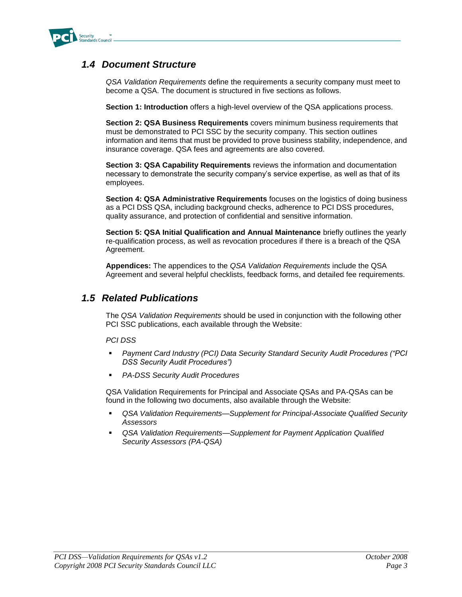

#### *1.4 Document Structure*

*QSA Validation Requirements* define the requirements a security company must meet to become a QSA. The document is structured in five sections as follows.

**Section 1: Introduction** offers a high-level overview of the QSA applications process.

**Section 2: QSA Business Requirements** covers minimum business requirements that must be demonstrated to PCI SSC by the security company. This section outlines information and items that must be provided to prove business stability, independence, and insurance coverage. QSA fees and agreements are also covered.

**Section 3: QSA Capability Requirements** reviews the information and documentation necessary to demonstrate the security company's service expertise, as well as that of its employees.

**Section 4: QSA Administrative Requirements** focuses on the logistics of doing business as a PCI DSS QSA, including background checks, adherence to PCI DSS procedures, quality assurance, and protection of confidential and sensitive information.

**Section 5: QSA Initial Qualification and Annual Maintenance** briefly outlines the yearly re-qualification process, as well as revocation procedures if there is a breach of the QSA Agreement.

**Appendices:** The appendices to the *QSA Validation Requirements* include the QSA Agreement and several helpful checklists, feedback forms, and detailed fee requirements.

#### *1.5 Related Publications*

The *QSA Validation Requirements* should be used in conjunction with the following other PCI SSC publications, each available through the Website:

*PCI DSS*

- *Payment Card Industry (PCI) Data Security Standard Security Audit Procedures ("PCI DSS Security Audit Procedures")*
- *PA-DSS Security Audit Procedures*

QSA Validation Requirements for Principal and Associate QSAs and PA-QSAs can be found in the following two documents, also available through the Website:

- *QSA Validation Requirements—Supplement for Principal-Associate Qualified Security Assessors*
- *QSA Validation Requirements—Supplement for Payment Application Qualified Security Assessors (PA-QSA)*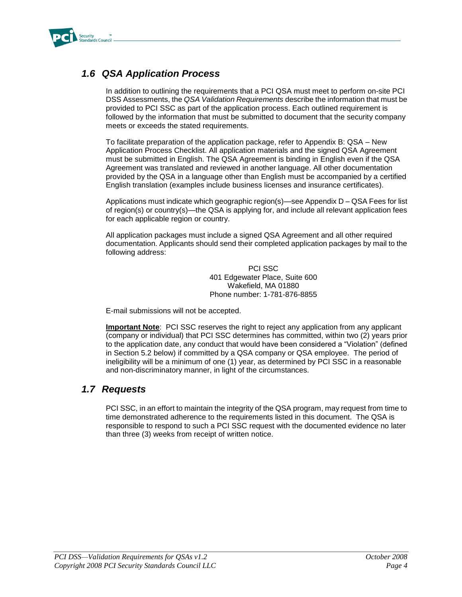

## *1.6 QSA Application Process*

In addition to outlining the requirements that a PCI QSA must meet to perform on-site PCI DSS Assessments, the *QSA Validation Requirements* describe the information that must be provided to PCI SSC as part of the application process. Each outlined requirement is followed by the information that must be submitted to document that the security company meets or exceeds the stated requirements.

To facilitate preparation of the application package, refer to Appendix B: QSA – New Application Process Checklist. All application materials and the signed QSA Agreement must be submitted in English. The QSA Agreement is binding in English even if the QSA Agreement was translated and reviewed in another language. All other documentation provided by the QSA in a language other than English must be accompanied by a certified English translation (examples include business licenses and insurance certificates).

Applications must indicate which geographic region(s)—see Appendix D – QSA Fees for list of region(s) or country(s)—the QSA is applying for, and include all relevant application fees for each applicable region or country.

All application packages must include a signed QSA Agreement and all other required documentation. Applicants should send their completed application packages by mail to the following address:

> PCI SSC 401 Edgewater Place, Suite 600 Wakefield, MA 01880 Phone number: 1-781-876-8855

E-mail submissions will not be accepted.

**Important Note**: PCI SSC reserves the right to reject any application from any applicant (company or individual) that PCI SSC determines has committed, within two (2) years prior to the application date, any conduct that would have been considered a "Violation" (defined in Section 5.2 below) if committed by a QSA company or QSA employee. The period of ineligibility will be a minimum of one (1) year, as determined by PCI SSC in a reasonable and non-discriminatory manner, in light of the circumstances.

#### *1.7 Requests*

PCI SSC, in an effort to maintain the integrity of the QSA program, may request from time to time demonstrated adherence to the requirements listed in this document. The QSA is responsible to respond to such a PCI SSC request with the documented evidence no later than three (3) weeks from receipt of written notice.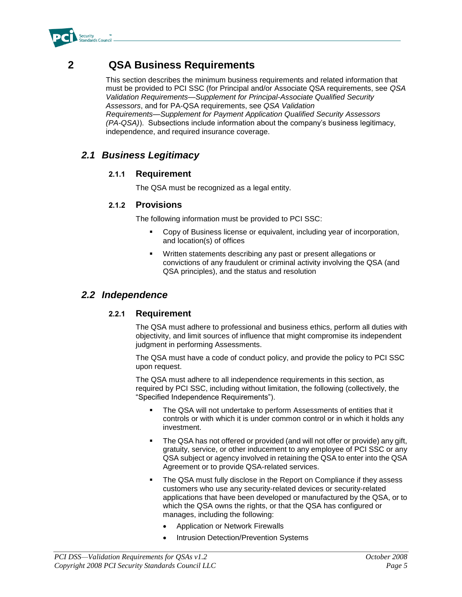

## **2 QSA Business Requirements**

This section describes the minimum business requirements and related information that must be provided to PCI SSC (for Principal and/or Associate QSA requirements, see *QSA Validation Requirements—Supplement for Principal-Associate Qualified Security Assessors*, and for PA-QSA requirements, see *QSA Validation Requirements—Supplement for Payment Application Qualified Security Assessors (PA-QSA)*). Subsections include information about the company's business legitimacy, independence, and required insurance coverage.

## *2.1 Business Legitimacy*

#### **2.1.1 Requirement**

The QSA must be recognized as a legal entity.

#### **2.1.2 Provisions**

The following information must be provided to PCI SSC:

- Copy of Business license or equivalent, including year of incorporation, and location(s) of offices
- Written statements describing any past or present allegations or convictions of any fraudulent or criminal activity involving the QSA (and QSA principles), and the status and resolution

#### *2.2 Independence*

#### **2.2.1 Requirement**

The QSA must adhere to professional and business ethics, perform all duties with objectivity, and limit sources of influence that might compromise its independent judgment in performing Assessments.

The QSA must have a code of conduct policy, and provide the policy to PCI SSC upon request.

The QSA must adhere to all independence requirements in this section, as required by PCI SSC, including without limitation, the following (collectively, the "Specified Independence Requirements").

- The QSA will not undertake to perform Assessments of entities that it controls or with which it is under common control or in which it holds any investment.
- The QSA has not offered or provided (and will not offer or provide) any gift, gratuity, service, or other inducement to any employee of PCI SSC or any QSA subject or agency involved in retaining the QSA to enter into the QSA Agreement or to provide QSA-related services.
- The QSA must fully disclose in the Report on Compliance if they assess customers who use any security-related devices or security-related applications that have been developed or manufactured by the QSA, or to which the QSA owns the rights, or that the QSA has configured or manages, including the following:
	- Application or Network Firewalls
	- Intrusion Detection/Prevention Systems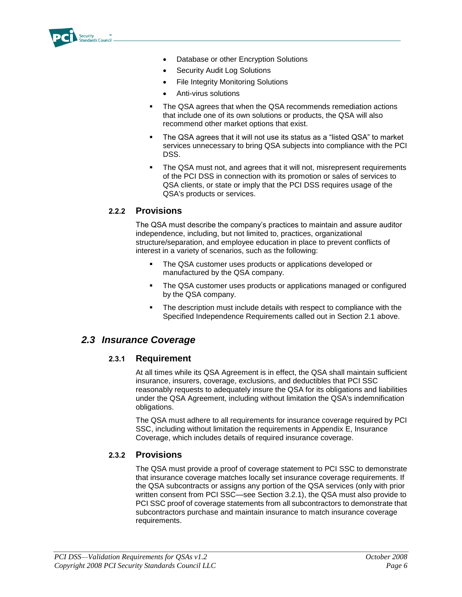

- Database or other Encryption Solutions
- Security Audit Log Solutions
- File Integrity Monitoring Solutions
- Anti-virus solutions
- The QSA agrees that when the QSA recommends remediation actions that include one of its own solutions or products, the QSA will also recommend other market options that exist.
- The QSA agrees that it will not use its status as a "listed QSA" to market services unnecessary to bring QSA subjects into compliance with the PCI DSS.
- The QSA must not, and agrees that it will not, misrepresent requirements of the PCI DSS in connection with its promotion or sales of services to QSA clients, or state or imply that the PCI DSS requires usage of the QSA's products or services.

#### **2.2.2 Provisions**

The QSA must describe the company's practices to maintain and assure auditor independence, including, but not limited to, practices, organizational structure/separation, and employee education in place to prevent conflicts of interest in a variety of scenarios, such as the following:

- **The QSA customer uses products or applications developed or** manufactured by the QSA company.
- The QSA customer uses products or applications managed or configured by the QSA company.
- The description must include details with respect to compliance with the Specified Independence Requirements called out in Section 2.1 above.

#### *2.3 Insurance Coverage*

#### **2.3.1 Requirement**

At all times while its QSA Agreement is in effect, the QSA shall maintain sufficient insurance, insurers, coverage, exclusions, and deductibles that PCI SSC reasonably requests to adequately insure the QSA for its obligations and liabilities under the QSA Agreement, including without limitation the QSA's indemnification obligations.

The QSA must adhere to all requirements for insurance coverage required by PCI SSC, including without limitation the requirements in Appendix E, Insurance Coverage, which includes details of required insurance coverage.

#### **2.3.2 Provisions**

The QSA must provide a proof of coverage statement to PCI SSC to demonstrate that insurance coverage matches locally set insurance coverage requirements. If the QSA subcontracts or assigns any portion of the QSA services (only with prior written consent from PCI SSC—see Section 3.2.1), the QSA must also provide to PCI SSC proof of coverage statements from all subcontractors to demonstrate that subcontractors purchase and maintain insurance to match insurance coverage requirements.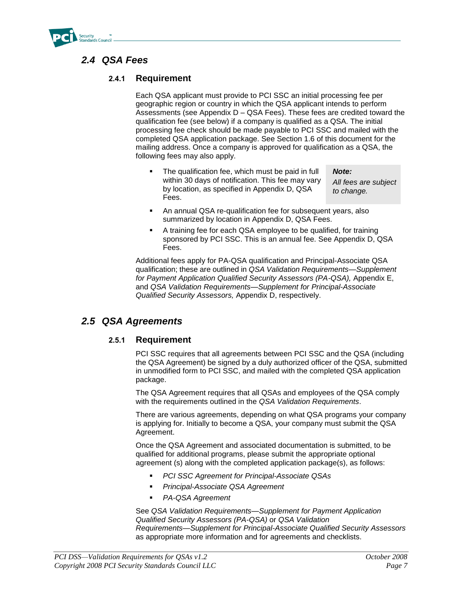

## *2.4 QSA Fees*

#### **2.4.1 Requirement**

Each QSA applicant must provide to PCI SSC an initial processing fee per geographic region or country in which the QSA applicant intends to perform Assessments (see Appendix D – QSA Fees). These fees are credited toward the qualification fee (see below) if a company is qualified as a QSA. The initial processing fee check should be made payable to PCI SSC and mailed with the completed QSA application package. See Section 1.6 of this document for the mailing address. Once a company is approved for qualification as a QSA, the following fees may also apply.

 The qualification fee, which must be paid in full within 30 days of notification. This fee may vary by location, as specified in Appendix D, QSA Fees.

*All fees are subject to change.*

*Note:*

- An annual QSA re-qualification fee for subsequent years, also summarized by location in Appendix D, QSA Fees.
- A training fee for each QSA employee to be qualified, for training sponsored by PCI SSC. This is an annual fee. See Appendix D, QSA Fees.

Additional fees apply for PA-QSA qualification and Principal-Associate QSA qualification; these are outlined in *QSA Validation Requirements—Supplement for Payment Application Qualified Security Assessors (PA-QSA),* Appendix E, and *QSA Validation Requirements—Supplement for Principal-Associate Qualified Security Assessors,* Appendix D, respectively.

#### *2.5 QSA Agreements*

#### **2.5.1 Requirement**

PCI SSC requires that all agreements between PCI SSC and the QSA (including the QSA Agreement) be signed by a duly authorized officer of the QSA, submitted in unmodified form to PCI SSC, and mailed with the completed QSA application package.

The QSA Agreement requires that all QSAs and employees of the QSA comply with the requirements outlined in the *QSA Validation Requirements*.

There are various agreements, depending on what QSA programs your company is applying for. Initially to become a QSA, your company must submit the QSA Agreement.

Once the QSA Agreement and associated documentation is submitted, to be qualified for additional programs, please submit the appropriate optional agreement (s) along with the completed application package(s), as follows:

- *PCI SSC Agreement for Principal-Associate QSAs*
- *Principal-Associate QSA Agreement*
- *PA-QSA Agreement*

See *QSA Validation Requirements—Supplement for Payment Application Qualified Security Assessors (PA-QSA)* or *QSA Validation Requirements—Supplement for Principal-Associate Qualified Security Assessors*  as appropriate more information and for agreements and checklists.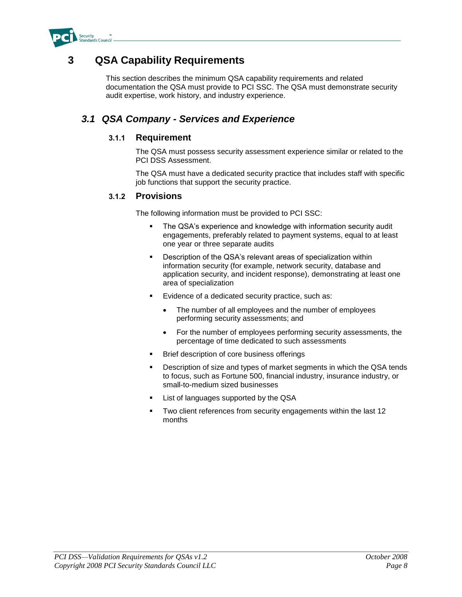

## **3 QSA Capability Requirements**

This section describes the minimum QSA capability requirements and related documentation the QSA must provide to PCI SSC. The QSA must demonstrate security audit expertise, work history, and industry experience.

### *3.1 QSA Company - Services and Experience*

#### **3.1.1 Requirement**

The QSA must possess security assessment experience similar or related to the PCI DSS Assessment.

The QSA must have a dedicated security practice that includes staff with specific job functions that support the security practice.

#### **3.1.2 Provisions**

The following information must be provided to PCI SSC:

- The QSA's experience and knowledge with information security audit engagements, preferably related to payment systems, equal to at least one year or three separate audits
- Description of the QSA's relevant areas of specialization within information security (for example, network security, database and application security, and incident response), demonstrating at least one area of specialization
- Evidence of a dedicated security practice, such as:
	- The number of all employees and the number of employees performing security assessments; and
	- For the number of employees performing security assessments, the percentage of time dedicated to such assessments
- Brief description of core business offerings
- **•** Description of size and types of market segments in which the QSA tends to focus, such as Fortune 500, financial industry, insurance industry, or small-to-medium sized businesses
- List of languages supported by the QSA
- Two client references from security engagements within the last 12 months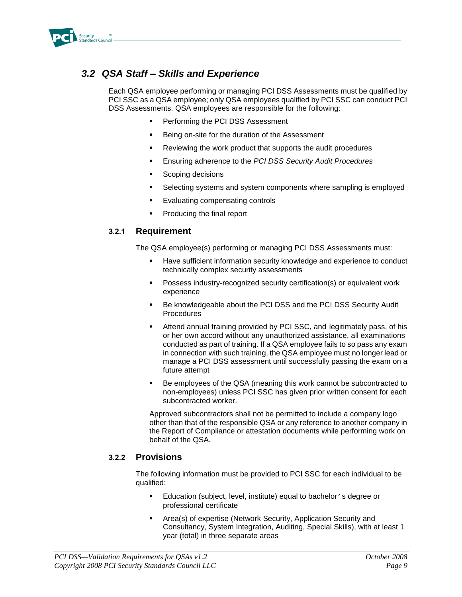

## *3.2 QSA Staff – Skills and Experience*

Each QSA employee performing or managing PCI DSS Assessments must be qualified by PCI SSC as a QSA employee; only QSA employees qualified by PCI SSC can conduct PCI DSS Assessments. QSA employees are responsible for the following:

- Performing the PCI DSS Assessment
- Being on-site for the duration of the Assessment
- Reviewing the work product that supports the audit procedures
- Ensuring adherence to the *PCI DSS Security Audit Procedures*
- Scoping decisions
- Selecting systems and system components where sampling is employed
- Evaluating compensating controls
- Producing the final report

#### **3.2.1 Requirement**

The QSA employee(s) performing or managing PCI DSS Assessments must:

- **Have sufficient information security knowledge and experience to conduct** technically complex security assessments
- Possess industry-recognized security certification(s) or equivalent work experience
- Be knowledgeable about the PCI DSS and the PCI DSS Security Audit **Procedures**
- Attend annual training provided by PCI SSC, and legitimately pass, of his or her own accord without any unauthorized assistance, all examinations conducted as part of training. If a QSA employee fails to so pass any exam in connection with such training, the QSA employee must no longer lead or manage a PCI DSS assessment until successfully passing the exam on a future attempt
- Be employees of the QSA (meaning this work cannot be subcontracted to non-employees) unless PCI SSC has given prior written consent for each subcontracted worker.

Approved subcontractors shall not be permitted to include a company logo other than that of the responsible QSA or any reference to another company in the Report of Compliance or attestation documents while performing work on behalf of the QSA.

#### **3.2.2 Provisions**

The following information must be provided to PCI SSC for each individual to be qualified:

- **E** Education (subject, level, institute) equal to bachelor's degree or professional certificate
- Area(s) of expertise (Network Security, Application Security and Consultancy, System Integration, Auditing, Special Skills), with at least 1 year (total) in three separate areas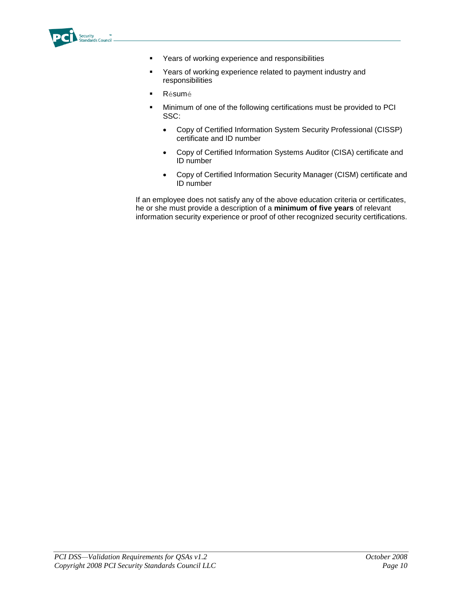

- **•** Years of working experience and responsibilities
- Years of working experience related to payment industry and responsibilities
- Résumé
- Minimum of one of the following certifications must be provided to PCI SSC:
	- Copy of Certified Information System Security Professional (CISSP) certificate and ID number
	- Copy of Certified Information Systems Auditor (CISA) certificate and ID number
	- Copy of Certified Information Security Manager (CISM) certificate and ID number

If an employee does not satisfy any of the above education criteria or certificates, he or she must provide a description of a **minimum of five years** of relevant information security experience or proof of other recognized security certifications.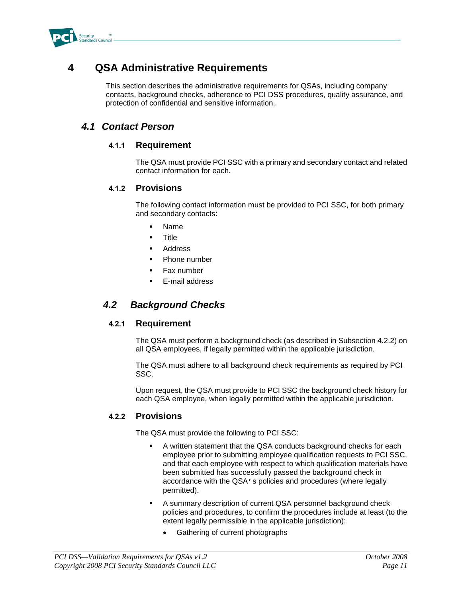

## **4 QSA Administrative Requirements**

This section describes the administrative requirements for QSAs, including company contacts, background checks, adherence to PCI DSS procedures, quality assurance, and protection of confidential and sensitive information.

#### *4.1 Contact Person*

#### **4.1.1 Requirement**

The QSA must provide PCI SSC with a primary and secondary contact and related contact information for each.

#### **4.1.2 Provisions**

The following contact information must be provided to PCI SSC, for both primary and secondary contacts:

- Name
- **Title**
- Address
- Phone number
- Fax number
- E-mail address

### *4.2 Background Checks*

#### **4.2.1 Requirement**

The QSA must perform a background check (as described in Subsection 4.2.2) on all QSA employees, if legally permitted within the applicable jurisdiction.

The QSA must adhere to all background check requirements as required by PCI SSC.

Upon request, the QSA must provide to PCI SSC the background check history for each QSA employee, when legally permitted within the applicable jurisdiction.

#### **4.2.2 Provisions**

The QSA must provide the following to PCI SSC:

- A written statement that the QSA conducts background checks for each employee prior to submitting employee qualification requests to PCI SSC, and that each employee with respect to which qualification materials have been submitted has successfully passed the background check in accordance with the QSA's policies and procedures (where legally permitted).
- A summary description of current QSA personnel background check policies and procedures, to confirm the procedures include at least (to the extent legally permissible in the applicable jurisdiction):
	- Gathering of current photographs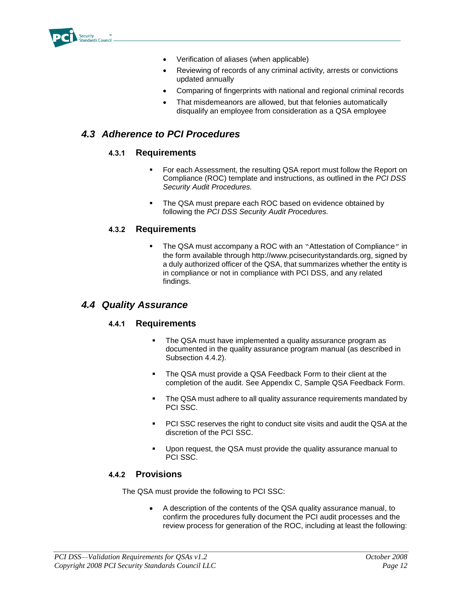

- Verification of aliases (when applicable)
- Reviewing of records of any criminal activity, arrests or convictions updated annually
- Comparing of fingerprints with national and regional criminal records
- That misdemeanors are allowed, but that felonies automatically disqualify an employee from consideration as a QSA employee

### *4.3 Adherence to PCI Procedures*

#### **4.3.1 Requirements**

- For each Assessment, the resulting QSA report must follow the Report on Compliance (ROC) template and instructions, as outlined in the *PCI DSS Security Audit Procedures.*
- The QSA must prepare each ROC based on evidence obtained by following the *PCI DSS Security Audit Procedures.*

#### **4.3.2 Requirements**

 The QSA must accompany a ROC with an "Attestation of Compliance" in the form available through http://www.pcisecuritystandards.org, signed by a duly authorized officer of the QSA, that summarizes whether the entity is in compliance or not in compliance with PCI DSS, and any related findings.

#### *4.4 Quality Assurance*

#### **4.4.1 Requirements**

- The QSA must have implemented a quality assurance program as documented in the quality assurance program manual (as described in Subsection 4.4.2).
- **The QSA must provide a QSA Feedback Form to their client at the** completion of the audit. See Appendix C, Sample QSA Feedback Form.
- The QSA must adhere to all quality assurance requirements mandated by PCI SSC.
- PCI SSC reserves the right to conduct site visits and audit the QSA at the discretion of the PCI SSC.
- Upon request, the QSA must provide the quality assurance manual to PCI SSC.

#### **4.4.2 Provisions**

The QSA must provide the following to PCI SSC:

 A description of the contents of the QSA quality assurance manual, to confirm the procedures fully document the PCI audit processes and the review process for generation of the ROC, including at least the following: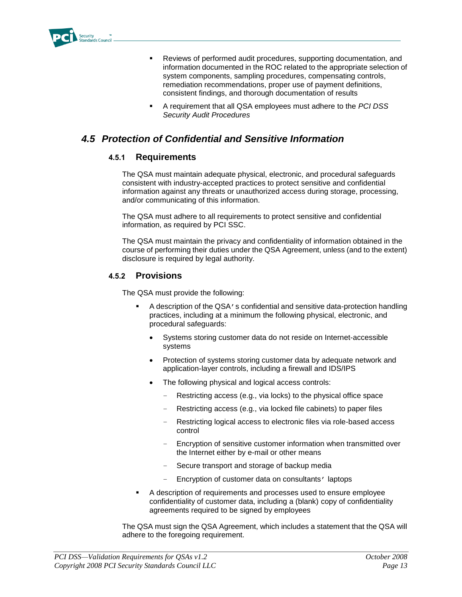

- Reviews of performed audit procedures, supporting documentation, and information documented in the ROC related to the appropriate selection of system components, sampling procedures, compensating controls, remediation recommendations, proper use of payment definitions, consistent findings, and thorough documentation of results
- A requirement that all QSA employees must adhere to the *PCI DSS Security Audit Procedures*

### *4.5 Protection of Confidential and Sensitive Information*

#### **4.5.1 Requirements**

The QSA must maintain adequate physical, electronic, and procedural safeguards consistent with industry-accepted practices to protect sensitive and confidential information against any threats or unauthorized access during storage, processing, and/or communicating of this information.

The QSA must adhere to all requirements to protect sensitive and confidential information, as required by PCI SSC.

The QSA must maintain the privacy and confidentiality of information obtained in the course of performing their duties under the QSA Agreement, unless (and to the extent) disclosure is required by legal authority.

#### **4.5.2 Provisions**

The QSA must provide the following:

- A description of the QSA's confidential and sensitive data-protection handling practices, including at a minimum the following physical, electronic, and procedural safeguards:
	- Systems storing customer data do not reside on Internet-accessible systems
	- Protection of systems storing customer data by adequate network and application-layer controls, including a firewall and IDS/IPS
	- The following physical and logical access controls:
		- Restricting access (e.g., via locks) to the physical office space
		- Restricting access (e.g., via locked file cabinets) to paper files
		- Restricting logical access to electronic files via role-based access control
		- Encryption of sensitive customer information when transmitted over the Internet either by e-mail or other means
		- Secure transport and storage of backup media
		- Encryption of customer data on consultants' laptops
- A description of requirements and processes used to ensure employee confidentiality of customer data, including a (blank) copy of confidentiality agreements required to be signed by employees

The QSA must sign the QSA Agreement, which includes a statement that the QSA will adhere to the foregoing requirement.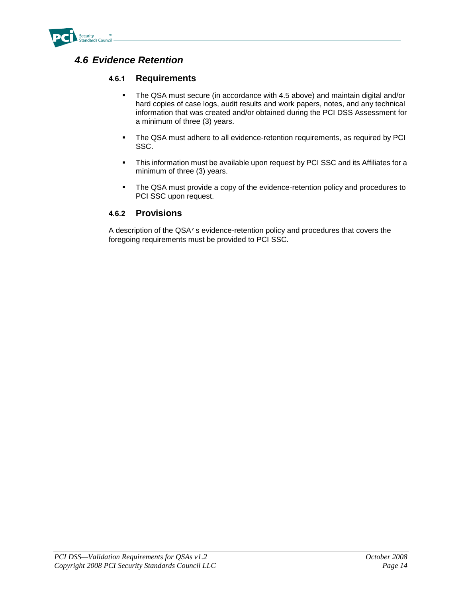

### *4.6 Evidence Retention*

#### **4.6.1 Requirements**

- The QSA must secure (in accordance with 4.5 above) and maintain digital and/or hard copies of case logs, audit results and work papers, notes, and any technical information that was created and/or obtained during the PCI DSS Assessment for a minimum of three (3) years.
- The QSA must adhere to all evidence-retention requirements, as required by PCI SSC.
- This information must be available upon request by PCI SSC and its Affiliates for a minimum of three (3) years.
- The QSA must provide a copy of the evidence-retention policy and procedures to PCI SSC upon request.

#### **4.6.2 Provisions**

A description of the QSA's evidence-retention policy and procedures that covers the foregoing requirements must be provided to PCI SSC.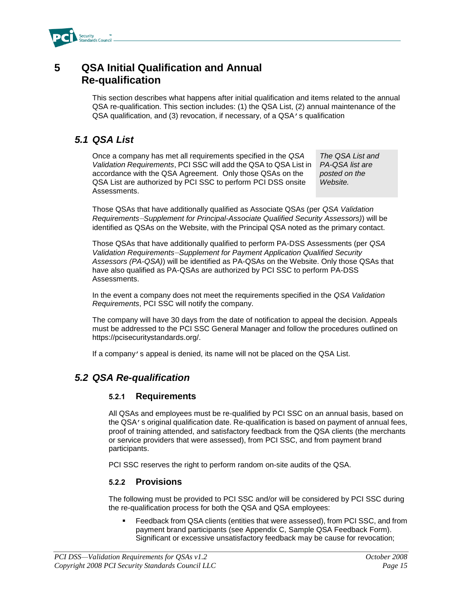

## **5 QSA Initial Qualification and Annual Re-qualification**

This section describes what happens after initial qualification and items related to the annual QSA re-qualification. This section includes: (1) the QSA List, (2) annual maintenance of the QSA qualification, and (3) revocation, if necessary, of a QSA's qualification

#### *5.1 QSA List*

Once a company has met all requirements specified in the *QSA Validation Requirements*, PCI SSC will add the QSA to QSA List in accordance with the QSA Agreement. Only those QSAs on the QSA List are authorized by PCI SSC to perform PCI DSS onsite Assessments.

*The QSA List and PA-QSA list are posted on the Website.*

Those QSAs that have additionally qualified as Associate QSAs (per *QSA Validation Requirements—Supplement for Principal-Associate Qualified Security Assessors)*) will be identified as QSAs on the Website, with the Principal QSA noted as the primary contact.

Those QSAs that have additionally qualified to perform PA-DSS Assessments (per *QSA Validation Requirements—Supplement for Payment Application Qualified Security Assessors (PA-QSA)*) will be identified as PA-QSAs on the Website. Only those QSAs that have also qualified as PA-QSAs are authorized by PCI SSC to perform PA-DSS Assessments.

In the event a company does not meet the requirements specified in the *QSA Validation Requirements*, PCI SSC will notify the company.

The company will have 30 days from the date of notification to appeal the decision. Appeals must be addressed to the PCI SSC General Manager and follow the procedures outlined on https://pcisecuritystandards.org/.

If a company's appeal is denied, its name will not be placed on the QSA List.

### *5.2 QSA Re-qualification*

#### **5.2.1 Requirements**

All QSAs and employees must be re-qualified by PCI SSC on an annual basis, based on the QSA's original qualification date. Re-qualification is based on payment of annual fees, proof of training attended, and satisfactory feedback from the QSA clients (the merchants or service providers that were assessed), from PCI SSC, and from payment brand participants.

PCI SSC reserves the right to perform random on-site audits of the QSA.

#### **5.2.2 Provisions**

The following must be provided to PCI SSC and/or will be considered by PCI SSC during the re-qualification process for both the QSA and QSA employees:

 Feedback from QSA clients (entities that were assessed), from PCI SSC, and from payment brand participants (see Appendix C, Sample QSA Feedback Form). Significant or excessive unsatisfactory feedback may be cause for revocation;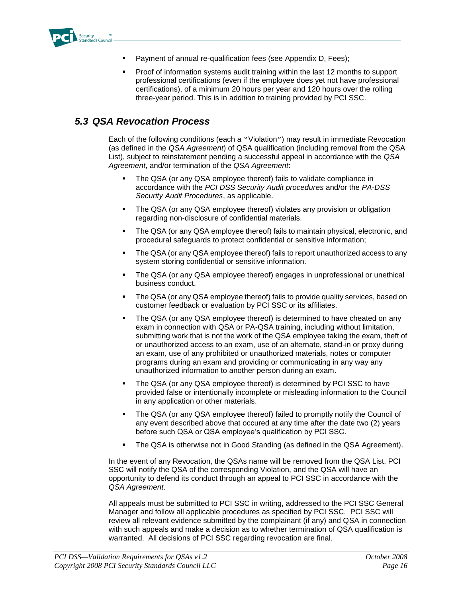

- Payment of annual re-qualification fees (see Appendix D, Fees);
- Proof of information systems audit training within the last 12 months to support professional certifications (even if the employee does yet not have professional certifications), of a minimum 20 hours per year and 120 hours over the rolling three-year period. This is in addition to training provided by PCI SSC.

## *5.3 QSA Revocation Process*

Each of the following conditions (each a "Violation") may result in immediate Revocation (as defined in the *QSA Agreement*) of QSA qualification (including removal from the QSA List), subject to reinstatement pending a successful appeal in accordance with the *QSA Agreement*, and/or termination of the *QSA Agreement*:

- The QSA (or any QSA employee thereof) fails to validate compliance in accordance with the *PCI DSS Security Audit procedures* and/or the *PA-DSS Security Audit Procedures*, as applicable.
- The QSA (or any QSA employee thereof) violates any provision or obligation regarding non-disclosure of confidential materials.
- The QSA (or any QSA employee thereof) fails to maintain physical, electronic, and procedural safeguards to protect confidential or sensitive information;
- The QSA (or any QSA employee thereof) fails to report unauthorized access to any system storing confidential or sensitive information.
- The QSA (or any QSA employee thereof) engages in unprofessional or unethical business conduct.
- The QSA (or any QSA employee thereof) fails to provide quality services, based on customer feedback or evaluation by PCI SSC or its affiliates.
- The QSA (or any QSA employee thereof) is determined to have cheated on any exam in connection with QSA or PA-QSA training, including without limitation, submitting work that is not the work of the QSA employee taking the exam, theft of or unauthorized access to an exam, use of an alternate, stand-in or proxy during an exam, use of any prohibited or unauthorized materials, notes or computer programs during an exam and providing or communicating in any way any unauthorized information to another person during an exam.
- The QSA (or any QSA employee thereof) is determined by PCI SSC to have provided false or intentionally incomplete or misleading information to the Council in any application or other materials.
- The QSA (or any QSA employee thereof) failed to promptly notify the Council of any event described above that occured at any time after the date two (2) years before such QSA or QSA employee's qualification by PCI SSC.
- The QSA is otherwise not in Good Standing (as defined in the QSA Agreement).

In the event of any Revocation, the QSAs name will be removed from the QSA List, PCI SSC will notify the QSA of the corresponding Violation, and the QSA will have an opportunity to defend its conduct through an appeal to PCI SSC in accordance with the *QSA Agreement*.

All appeals must be submitted to PCI SSC in writing, addressed to the PCI SSC General Manager and follow all applicable procedures as specified by PCI SSC. PCI SSC will review all relevant evidence submitted by the complainant (if any) and QSA in connection with such appeals and make a decision as to whether termination of QSA qualification is warranted. All decisions of PCI SSC regarding revocation are final.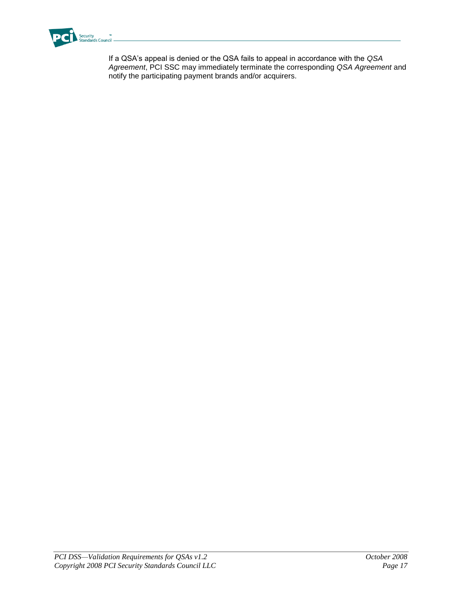

If a QSA's appeal is denied or the QSA fails to appeal in accordance with the *QSA Agreement*, PCI SSC may immediately terminate the corresponding *QSA Agreement* and notify the participating payment brands and/or acquirers.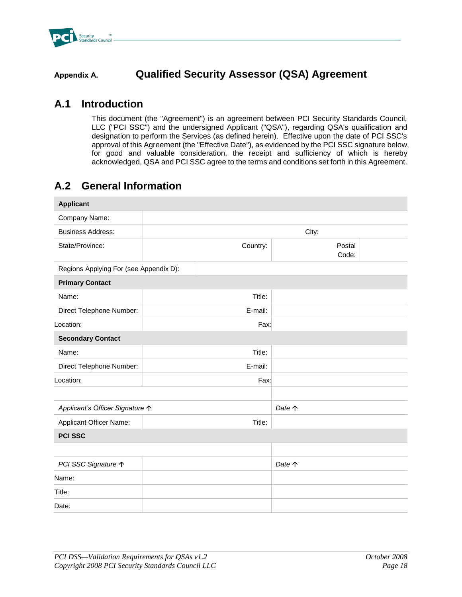

## **Appendix A. Qualified Security Assessor (QSA) Agreement**

## **A.1 Introduction**

This document (the "Agreement") is an agreement between PCI Security Standards Council, LLC ("PCI SSC") and the undersigned Applicant ("QSA"), regarding QSA's qualification and designation to perform the Services (as defined herein). Effective upon the date of PCI SSC's approval of this Agreement (the "Effective Date"), as evidenced by the PCI SSC signature below, for good and valuable consideration, the receipt and sufficiency of which is hereby acknowledged, QSA and PCI SSC agree to the terms and conditions set forth in this Agreement.

## **A.2 General Information**

| <b>Applicant</b>                         |          |                 |  |
|------------------------------------------|----------|-----------------|--|
| Company Name:                            |          |                 |  |
| <b>Business Address:</b>                 |          | City:           |  |
| State/Province:                          | Country: | Postal<br>Code: |  |
| Regions Applying For (see Appendix D):   |          |                 |  |
| <b>Primary Contact</b>                   |          |                 |  |
| Name:                                    | Title:   |                 |  |
| Direct Telephone Number:                 | E-mail:  |                 |  |
| Location:                                | Fax:     |                 |  |
| <b>Secondary Contact</b>                 |          |                 |  |
| Name:                                    | Title:   |                 |  |
| Direct Telephone Number:                 | E-mail:  |                 |  |
| Location:                                | Fax:     |                 |  |
|                                          |          |                 |  |
| Applicant's Officer Signature $\uparrow$ |          | Date $\uparrow$ |  |
| <b>Applicant Officer Name:</b>           | Title:   |                 |  |
| <b>PCI SSC</b>                           |          |                 |  |
|                                          |          |                 |  |
| PCI SSC Signature ↑                      |          | Date $\uparrow$ |  |
| Name:                                    |          |                 |  |
| Title:                                   |          |                 |  |
| Date:                                    |          |                 |  |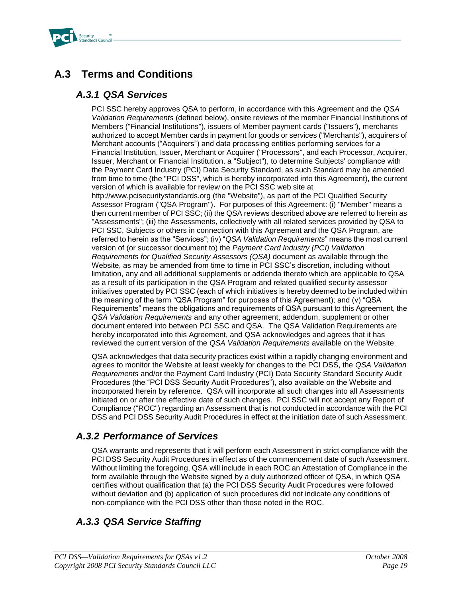

## **A.3 Terms and Conditions**

#### *A.3.1 QSA Services*

PCI SSC hereby approves QSA to perform, in accordance with this Agreement and the *QSA Validation Requirements* (defined below), onsite reviews of the member Financial Institutions of Members ("Financial Institutions"), issuers of Member payment cards ("Issuers"), merchants authorized to accept Member cards in payment for goods or services ("Merchants"), acquirers of Merchant accounts ("Acquirers") and data processing entities performing services for a Financial Institution, Issuer, Merchant or Acquirer ("Processors", and each Processor, Acquirer, Issuer, Merchant or Financial Institution, a "Subject"), to determine Subjects' compliance with the Payment Card Industry (PCI) Data Security Standard, as such Standard may be amended from time to time (the "PCI DSS", which is hereby incorporated into this Agreement), the current version of which is available for review on the PCI SSC web site at http://www.pcisecuritystandards.org (the "Website"), as part of the PCI Qualified Security Assessor Program ("QSA Program"). For purposes of this Agreement: (i) "Member" means a then current member of PCI SSC; (ii) the QSA reviews described above are referred to herein as "Assessments"; (iii) the Assessments, collectively with all related services provided by QSA to PCI SSC, Subjects or others in connection with this Agreement and the QSA Program, are referred to herein as the "Services"; (iv) "*QSA Validation Requirements*" means the most current version of (or successor document to) the *Payment Card Industry (PCI) Validation Requirements for Qualified Security Assessors (QSA)* document as available through the Website, as may be amended from time to time in PCI SSC's discretion, including without limitation, any and all additional supplements or addenda thereto which are applicable to QSA as a result of its participation in the QSA Program and related qualified security assessor initiatives operated by PCI SSC (each of which initiatives is hereby deemed to be included within the meaning of the term "QSA Program" for purposes of this Agreement); and (v) "QSA Requirements" means the obligations and requirements of QSA pursuant to this Agreement, the *QSA Validation Requirements* and any other agreement, addendum, supplement or other document entered into between PCI SSC and QSA. The QSA Validation Requirements are hereby incorporated into this Agreement, and QSA acknowledges and agrees that it has reviewed the current version of the *QSA Validation Requirements* available on the Website.

QSA acknowledges that data security practices exist within a rapidly changing environment and agrees to monitor the Website at least weekly for changes to the PCI DSS, the *QSA Validation Requirements* and/or the Payment Card Industry (PCI) Data Security Standard Security Audit Procedures (the "PCI DSS Security Audit Procedures"), also available on the Website and incorporated herein by reference. QSA will incorporate all such changes into all Assessments initiated on or after the effective date of such changes. PCI SSC will not accept any Report of Compliance ("ROC") regarding an Assessment that is not conducted in accordance with the PCI DSS and PCI DSS Security Audit Procedures in effect at the initiation date of such Assessment.

### *A.3.2 Performance of Services*

QSA warrants and represents that it will perform each Assessment in strict compliance with the PCI DSS Security Audit Procedures in effect as of the commencement date of such Assessment. Without limiting the foregoing, QSA will include in each ROC an Attestation of Compliance in the form available through the Website signed by a duly authorized officer of QSA, in which QSA certifies without qualification that (a) the PCI DSS Security Audit Procedures were followed without deviation and (b) application of such procedures did not indicate any conditions of non-compliance with the PCI DSS other than those noted in the ROC.

## *A.3.3 QSA Service Staffing*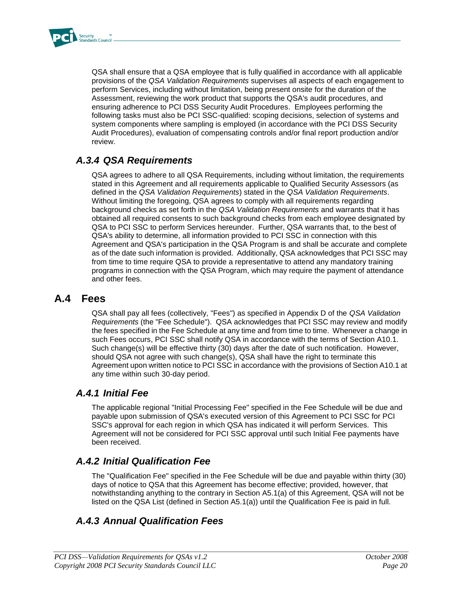

QSA shall ensure that a QSA employee that is fully qualified in accordance with all applicable provisions of the *QSA Validation Requirements* supervises all aspects of each engagement to perform Services, including without limitation, being present onsite for the duration of the Assessment, reviewing the work product that supports the QSA's audit procedures, and ensuring adherence to PCI DSS Security Audit Procedures. Employees performing the following tasks must also be PCI SSC-qualified: scoping decisions, selection of systems and system components where sampling is employed (in accordance with the PCI DSS Security Audit Procedures), evaluation of compensating controls and/or final report production and/or review.

## *A.3.4 QSA Requirements*

QSA agrees to adhere to all QSA Requirements, including without limitation, the requirements stated in this Agreement and all requirements applicable to Qualified Security Assessors (as defined in the *QSA Validation Requirements*) stated in the *QSA Validation Requirements*. Without limiting the foregoing, QSA agrees to comply with all requirements regarding background checks as set forth in the *QSA Validation Requirements* and warrants that it has obtained all required consents to such background checks from each employee designated by QSA to PCI SSC to perform Services hereunder. Further, QSA warrants that, to the best of QSA's ability to determine, all information provided to PCI SSC in connection with this Agreement and QSA's participation in the QSA Program is and shall be accurate and complete as of the date such information is provided. Additionally, QSA acknowledges that PCI SSC may from time to time require QSA to provide a representative to attend any mandatory training programs in connection with the QSA Program, which may require the payment of attendance and other fees.

#### **A.4 Fees**

QSA shall pay all fees (collectively, "Fees") as specified in Appendix D of the *QSA Validation Requirements* (the "Fee Schedule"). QSA acknowledges that PCI SSC may review and modify the fees specified in the Fee Schedule at any time and from time to time. Whenever a change in such Fees occurs, PCI SSC shall notify QSA in accordance with the terms of Section A10.1. Such change(s) will be effective thirty (30) days after the date of such notification. However, should QSA not agree with such change(s), QSA shall have the right to terminate this Agreement upon written notice to PCI SSC in accordance with the provisions of Section A10.1 at any time within such 30-day period.

#### *A.4.1 Initial Fee*

The applicable regional "Initial Processing Fee" specified in the Fee Schedule will be due and payable upon submission of QSA's executed version of this Agreement to PCI SSC for PCI SSC's approval for each region in which QSA has indicated it will perform Services. This Agreement will not be considered for PCI SSC approval until such Initial Fee payments have been received.

### *A.4.2 Initial Qualification Fee*

The "Qualification Fee" specified in the Fee Schedule will be due and payable within thirty (30) days of notice to QSA that this Agreement has become effective; provided, however, that notwithstanding anything to the contrary in Section A5.1(a) of this Agreement, QSA will not be listed on the QSA List (defined in Section A5.1(a)) until the Qualification Fee is paid in full.

### *A.4.3 Annual Qualification Fees*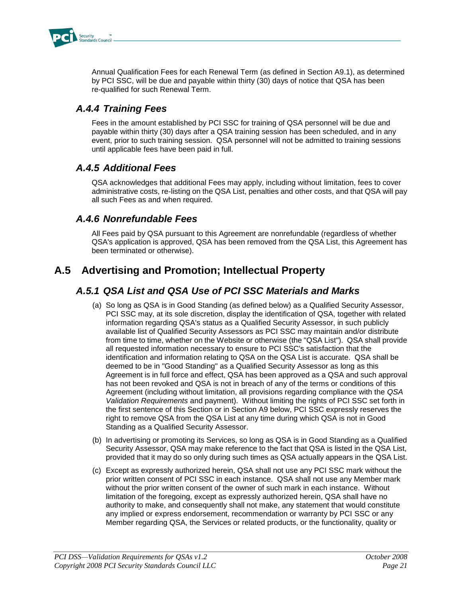

Annual Qualification Fees for each Renewal Term (as defined in Section A9.1), as determined by PCI SSC, will be due and payable within thirty (30) days of notice that QSA has been re-qualified for such Renewal Term.

### *A.4.4 Training Fees*

Fees in the amount established by PCI SSC for training of QSA personnel will be due and payable within thirty (30) days after a QSA training session has been scheduled, and in any event, prior to such training session. QSA personnel will not be admitted to training sessions until applicable fees have been paid in full.

### *A.4.5 Additional Fees*

QSA acknowledges that additional Fees may apply, including without limitation, fees to cover administrative costs, re-listing on the QSA List, penalties and other costs, and that QSA will pay all such Fees as and when required.

#### *A.4.6 Nonrefundable Fees*

All Fees paid by QSA pursuant to this Agreement are nonrefundable (regardless of whether QSA's application is approved, QSA has been removed from the QSA List, this Agreement has been terminated or otherwise).

## **A.5 Advertising and Promotion; Intellectual Property**

### *A.5.1 QSA List and QSA Use of PCI SSC Materials and Marks*

- (a) So long as QSA is in Good Standing (as defined below) as a Qualified Security Assessor, PCI SSC may, at its sole discretion, display the identification of QSA, together with related information regarding QSA's status as a Qualified Security Assessor, in such publicly available list of Qualified Security Assessors as PCI SSC may maintain and/or distribute from time to time, whether on the Website or otherwise (the "QSA List"). QSA shall provide all requested information necessary to ensure to PCI SSC's satisfaction that the identification and information relating to QSA on the QSA List is accurate. QSA shall be deemed to be in "Good Standing" as a Qualified Security Assessor as long as this Agreement is in full force and effect, QSA has been approved as a QSA and such approval has not been revoked and QSA is not in breach of any of the terms or conditions of this Agreement (including without limitation, all provisions regarding compliance with the *QSA Validation Requirements* and payment). Without limiting the rights of PCI SSC set forth in the first sentence of this Section or in Section A9 below, PCI SSC expressly reserves the right to remove QSA from the QSA List at any time during which QSA is not in Good Standing as a Qualified Security Assessor.
- (b) In advertising or promoting its Services, so long as QSA is in Good Standing as a Qualified Security Assessor, QSA may make reference to the fact that QSA is listed in the QSA List, provided that it may do so only during such times as QSA actually appears in the QSA List.
- (c) Except as expressly authorized herein, QSA shall not use any PCI SSC mark without the prior written consent of PCI SSC in each instance. QSA shall not use any Member mark without the prior written consent of the owner of such mark in each instance. Without limitation of the foregoing, except as expressly authorized herein, QSA shall have no authority to make, and consequently shall not make, any statement that would constitute any implied or express endorsement, recommendation or warranty by PCI SSC or any Member regarding QSA, the Services or related products, or the functionality, quality or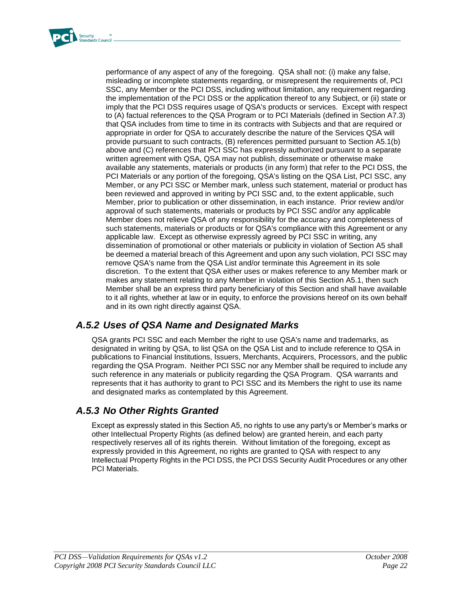

performance of any aspect of any of the foregoing. QSA shall not: (i) make any false, misleading or incomplete statements regarding, or misrepresent the requirements of, PCI SSC, any Member or the PCI DSS, including without limitation, any requirement regarding the implementation of the PCI DSS or the application thereof to any Subject, or (ii) state or imply that the PCI DSS requires usage of QSA's products or services. Except with respect to (A) factual references to the QSA Program or to PCI Materials (defined in Section A7.3) that QSA includes from time to time in its contracts with Subjects and that are required or appropriate in order for QSA to accurately describe the nature of the Services QSA will provide pursuant to such contracts, (B) references permitted pursuant to Section A5.1(b) above and (C) references that PCI SSC has expressly authorized pursuant to a separate written agreement with QSA, QSA may not publish, disseminate or otherwise make available any statements, materials or products (in any form) that refer to the PCI DSS, the PCI Materials or any portion of the foregoing, QSA's listing on the QSA List, PCI SSC, any Member, or any PCI SSC or Member mark, unless such statement, material or product has been reviewed and approved in writing by PCI SSC and, to the extent applicable, such Member, prior to publication or other dissemination, in each instance. Prior review and/or approval of such statements, materials or products by PCI SSC and/or any applicable Member does not relieve QSA of any responsibility for the accuracy and completeness of such statements, materials or products or for QSA's compliance with this Agreement or any applicable law. Except as otherwise expressly agreed by PCI SSC in writing, any dissemination of promotional or other materials or publicity in violation of Section A5 shall be deemed a material breach of this Agreement and upon any such violation, PCI SSC may remove QSA's name from the QSA List and/or terminate this Agreement in its sole discretion. To the extent that QSA either uses or makes reference to any Member mark or makes any statement relating to any Member in violation of this Section A5.1, then such Member shall be an express third party beneficiary of this Section and shall have available to it all rights, whether at law or in equity, to enforce the provisions hereof on its own behalf and in its own right directly against QSA.

### *A.5.2 Uses of QSA Name and Designated Marks*

QSA grants PCI SSC and each Member the right to use QSA's name and trademarks, as designated in writing by QSA, to list QSA on the QSA List and to include reference to QSA in publications to Financial Institutions, Issuers, Merchants, Acquirers, Processors, and the public regarding the QSA Program. Neither PCI SSC nor any Member shall be required to include any such reference in any materials or publicity regarding the QSA Program. QSA warrants and represents that it has authority to grant to PCI SSC and its Members the right to use its name and designated marks as contemplated by this Agreement.

### *A.5.3 No Other Rights Granted*

Except as expressly stated in this Section A5, no rights to use any party's or Member's marks or other Intellectual Property Rights (as defined below) are granted herein, and each party respectively reserves all of its rights therein. Without limitation of the foregoing, except as expressly provided in this Agreement, no rights are granted to QSA with respect to any Intellectual Property Rights in the PCI DSS, the PCI DSS Security Audit Procedures or any other PCI Materials.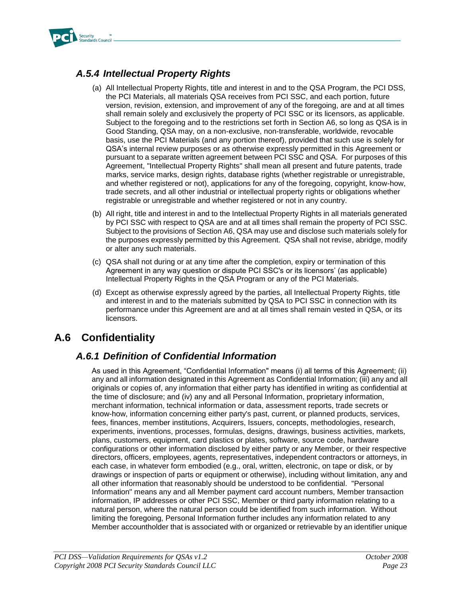

## *A.5.4 Intellectual Property Rights*

- (a) All Intellectual Property Rights, title and interest in and to the QSA Program, the PCI DSS, the PCI Materials, all materials QSA receives from PCI SSC, and each portion, future version, revision, extension, and improvement of any of the foregoing, are and at all times shall remain solely and exclusively the property of PCI SSC or its licensors, as applicable. Subject to the foregoing and to the restrictions set forth in Section A6, so long as QSA is in Good Standing, QSA may, on a non-exclusive, non-transferable, worldwide, revocable basis, use the PCI Materials (and any portion thereof), provided that such use is solely for QSA's internal review purposes or as otherwise expressly permitted in this Agreement or pursuant to a separate written agreement between PCI SSC and QSA. For purposes of this Agreement, "Intellectual Property Rights" shall mean all present and future patents, trade marks, service marks, design rights, database rights (whether registrable or unregistrable, and whether registered or not), applications for any of the foregoing, copyright, know-how, trade secrets, and all other industrial or intellectual property rights or obligations whether registrable or unregistrable and whether registered or not in any country.
- (b) All right, title and interest in and to the Intellectual Property Rights in all materials generated by PCI SSC with respect to QSA are and at all times shall remain the property of PCI SSC. Subject to the provisions of Section A6, QSA may use and disclose such materials solely for the purposes expressly permitted by this Agreement. QSA shall not revise, abridge, modify or alter any such materials.
- (c) QSA shall not during or at any time after the completion, expiry or termination of this Agreement in any way question or dispute PCI SSC's or its licensors' (as applicable) Intellectual Property Rights in the QSA Program or any of the PCI Materials.
- (d) Except as otherwise expressly agreed by the parties, all Intellectual Property Rights, title and interest in and to the materials submitted by QSA to PCI SSC in connection with its performance under this Agreement are and at all times shall remain vested in QSA, or its licensors.

## **A.6 Confidentiality**

## *A.6.1 Definition of Confidential Information*

As used in this Agreement, "Confidential Information" means (i) all terms of this Agreement; (ii) any and all information designated in this Agreement as Confidential Information; (iii) any and all originals or copies of, any information that either party has identified in writing as confidential at the time of disclosure; and (iv) any and all Personal Information, proprietary information, merchant information, technical information or data, assessment reports, trade secrets or know-how, information concerning either party's past, current, or planned products, services, fees, finances, member institutions, Acquirers, Issuers, concepts, methodologies, research, experiments, inventions, processes, formulas, designs, drawings, business activities, markets, plans, customers, equipment, card plastics or plates, software, source code, hardware configurations or other information disclosed by either party or any Member, or their respective directors, officers, employees, agents, representatives, independent contractors or attorneys, in each case, in whatever form embodied (e.g., oral, written, electronic, on tape or disk, or by drawings or inspection of parts or equipment or otherwise), including without limitation, any and all other information that reasonably should be understood to be confidential. "Personal Information" means any and all Member payment card account numbers, Member transaction information, IP addresses or other PCI SSC, Member or third party information relating to a natural person, where the natural person could be identified from such information. Without limiting the foregoing, Personal Information further includes any information related to any Member accountholder that is associated with or organized or retrievable by an identifier unique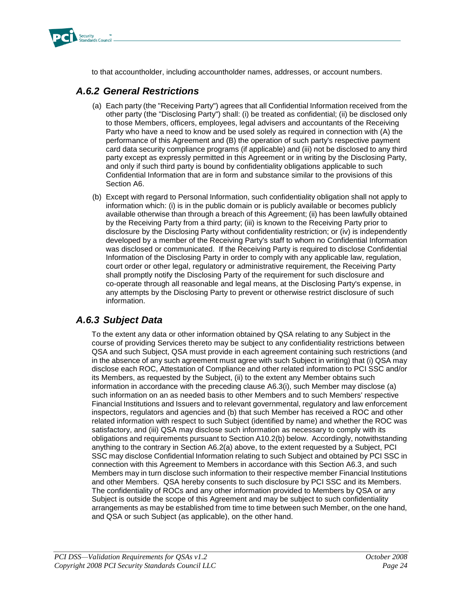

to that accountholder, including accountholder names, addresses, or account numbers.

#### *A.6.2 General Restrictions*

- (a) Each party (the "Receiving Party") agrees that all Confidential Information received from the other party (the "Disclosing Party") shall: (i) be treated as confidential; (ii) be disclosed only to those Members, officers, employees, legal advisers and accountants of the Receiving Party who have a need to know and be used solely as required in connection with (A) the performance of this Agreement and (B) the operation of such party's respective payment card data security compliance programs (if applicable) and (iii) not be disclosed to any third party except as expressly permitted in this Agreement or in writing by the Disclosing Party, and only if such third party is bound by confidentiality obligations applicable to such Confidential Information that are in form and substance similar to the provisions of this Section A6.
- (b) Except with regard to Personal Information, such confidentiality obligation shall not apply to information which: (i) is in the public domain or is publicly available or becomes publicly available otherwise than through a breach of this Agreement; (ii) has been lawfully obtained by the Receiving Party from a third party; (iii) is known to the Receiving Party prior to disclosure by the Disclosing Party without confidentiality restriction; or (iv) is independently developed by a member of the Receiving Party's staff to whom no Confidential Information was disclosed or communicated. If the Receiving Party is required to disclose Confidential Information of the Disclosing Party in order to comply with any applicable law, regulation, court order or other legal, regulatory or administrative requirement, the Receiving Party shall promptly notify the Disclosing Party of the requirement for such disclosure and co-operate through all reasonable and legal means, at the Disclosing Party's expense, in any attempts by the Disclosing Party to prevent or otherwise restrict disclosure of such information.

### *A.6.3 Subject Data*

To the extent any data or other information obtained by QSA relating to any Subject in the course of providing Services thereto may be subject to any confidentiality restrictions between QSA and such Subject, QSA must provide in each agreement containing such restrictions (and in the absence of any such agreement must agree with such Subject in writing) that (i) QSA may disclose each ROC, Attestation of Compliance and other related information to PCI SSC and/or its Members, as requested by the Subject, (ii) to the extent any Member obtains such information in accordance with the preceding clause A6.3(i), such Member may disclose (a) such information on an as needed basis to other Members and to such Members' respective Financial Institutions and Issuers and to relevant governmental, regulatory and law enforcement inspectors, regulators and agencies and (b) that such Member has received a ROC and other related information with respect to such Subject (identified by name) and whether the ROC was satisfactory, and (iii) QSA may disclose such information as necessary to comply with its obligations and requirements pursuant to Section A10.2(b) below. Accordingly, notwithstanding anything to the contrary in Section A6.2(a) above, to the extent requested by a Subject, PCI SSC may disclose Confidential Information relating to such Subject and obtained by PCI SSC in connection with this Agreement to Members in accordance with this Section A6.3, and such Members may in turn disclose such information to their respective member Financial Institutions and other Members. QSA hereby consents to such disclosure by PCI SSC and its Members. The confidentiality of ROCs and any other information provided to Members by QSA or any Subject is outside the scope of this Agreement and may be subject to such confidentiality arrangements as may be established from time to time between such Member, on the one hand, and QSA or such Subject (as applicable), on the other hand.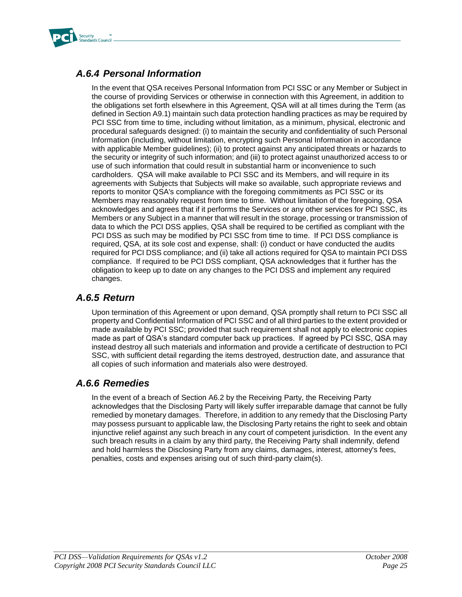

## *A.6.4 Personal Information*

In the event that QSA receives Personal Information from PCI SSC or any Member or Subject in the course of providing Services or otherwise in connection with this Agreement, in addition to the obligations set forth elsewhere in this Agreement, QSA will at all times during the Term (as defined in Section A9.1) maintain such data protection handling practices as may be required by PCI SSC from time to time, including without limitation, as a minimum, physical, electronic and procedural safeguards designed: (i) to maintain the security and confidentiality of such Personal Information (including, without limitation, encrypting such Personal Information in accordance with applicable Member guidelines); (ii) to protect against any anticipated threats or hazards to the security or integrity of such information; and (iii) to protect against unauthorized access to or use of such information that could result in substantial harm or inconvenience to such cardholders. QSA will make available to PCI SSC and its Members, and will require in its agreements with Subjects that Subjects will make so available, such appropriate reviews and reports to monitor QSA's compliance with the foregoing commitments as PCI SSC or its Members may reasonably request from time to time. Without limitation of the foregoing, QSA acknowledges and agrees that if it performs the Services or any other services for PCI SSC, its Members or any Subject in a manner that will result in the storage, processing or transmission of data to which the PCI DSS applies, QSA shall be required to be certified as compliant with the PCI DSS as such may be modified by PCI SSC from time to time. If PCI DSS compliance is required, QSA, at its sole cost and expense, shall: (i) conduct or have conducted the audits required for PCI DSS compliance; and (ii) take all actions required for QSA to maintain PCI DSS compliance. If required to be PCI DSS compliant, QSA acknowledges that it further has the obligation to keep up to date on any changes to the PCI DSS and implement any required changes.

### *A.6.5 Return*

Upon termination of this Agreement or upon demand, QSA promptly shall return to PCI SSC all property and Confidential Information of PCI SSC and of all third parties to the extent provided or made available by PCI SSC; provided that such requirement shall not apply to electronic copies made as part of QSA's standard computer back up practices. If agreed by PCI SSC, QSA may instead destroy all such materials and information and provide a certificate of destruction to PCI SSC, with sufficient detail regarding the items destroyed, destruction date, and assurance that all copies of such information and materials also were destroyed.

### *A.6.6 Remedies*

In the event of a breach of Section A6.2 by the Receiving Party, the Receiving Party acknowledges that the Disclosing Party will likely suffer irreparable damage that cannot be fully remedied by monetary damages. Therefore, in addition to any remedy that the Disclosing Party may possess pursuant to applicable law, the Disclosing Party retains the right to seek and obtain injunctive relief against any such breach in any court of competent jurisdiction. In the event any such breach results in a claim by any third party, the Receiving Party shall indemnify, defend and hold harmless the Disclosing Party from any claims, damages, interest, attorney's fees, penalties, costs and expenses arising out of such third-party claim(s).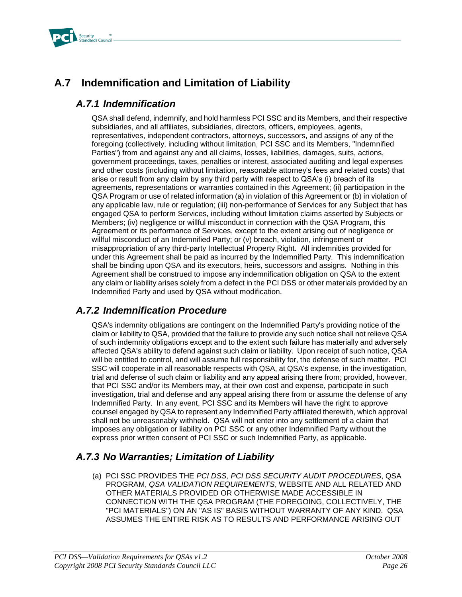

## **A.7 Indemnification and Limitation of Liability**

### *A.7.1 Indemnification*

QSA shall defend, indemnify, and hold harmless PCI SSC and its Members, and their respective subsidiaries, and all affiliates, subsidiaries, directors, officers, employees, agents, representatives, independent contractors, attorneys, successors, and assigns of any of the foregoing (collectively, including without limitation, PCI SSC and its Members, "Indemnified Parties") from and against any and all claims, losses, liabilities, damages, suits, actions, government proceedings, taxes, penalties or interest, associated auditing and legal expenses and other costs (including without limitation, reasonable attorney's fees and related costs) that arise or result from any claim by any third party with respect to QSA's (i) breach of its agreements, representations or warranties contained in this Agreement; (ii) participation in the QSA Program or use of related information (a) in violation of this Agreement or (b) in violation of any applicable law, rule or regulation; (iii) non-performance of Services for any Subject that has engaged QSA to perform Services, including without limitation claims asserted by Subjects or Members; (iv) negligence or willful misconduct in connection with the QSA Program, this Agreement or its performance of Services, except to the extent arising out of negligence or willful misconduct of an Indemnified Party; or (v) breach, violation, infringement or misappropriation of any third-party Intellectual Property Right. All indemnities provided for under this Agreement shall be paid as incurred by the Indemnified Party. This indemnification shall be binding upon QSA and its executors, heirs, successors and assigns. Nothing in this Agreement shall be construed to impose any indemnification obligation on QSA to the extent any claim or liability arises solely from a defect in the PCI DSS or other materials provided by an Indemnified Party and used by QSA without modification.

### *A.7.2 Indemnification Procedure*

QSA's indemnity obligations are contingent on the Indemnified Party's providing notice of the claim or liability to QSA, provided that the failure to provide any such notice shall not relieve QSA of such indemnity obligations except and to the extent such failure has materially and adversely affected QSA's ability to defend against such claim or liability. Upon receipt of such notice, QSA will be entitled to control, and will assume full responsibility for, the defense of such matter. PCI SSC will cooperate in all reasonable respects with QSA, at QSA's expense, in the investigation, trial and defense of such claim or liability and any appeal arising there from; provided, however, that PCI SSC and/or its Members may, at their own cost and expense, participate in such investigation, trial and defense and any appeal arising there from or assume the defense of any Indemnified Party. In any event, PCI SSC and its Members will have the right to approve counsel engaged by QSA to represent any Indemnified Party affiliated therewith, which approval shall not be unreasonably withheld. QSA will not enter into any settlement of a claim that imposes any obligation or liability on PCI SSC or any other Indemnified Party without the express prior written consent of PCI SSC or such Indemnified Party, as applicable.

## *A.7.3 No Warranties; Limitation of Liability*

(a) PCI SSC PROVIDES THE *PCI DSS, PCI DSS SECURITY AUDIT PROCEDURES*, QSA PROGRAM, *QSA VALIDATION REQUIREMENTS*, WEBSITE AND ALL RELATED AND OTHER MATERIALS PROVIDED OR OTHERWISE MADE ACCESSIBLE IN CONNECTION WITH THE QSA PROGRAM (THE FOREGOING, COLLECTIVELY, THE "PCI MATERIALS") ON AN "AS IS" BASIS WITHOUT WARRANTY OF ANY KIND. QSA ASSUMES THE ENTIRE RISK AS TO RESULTS AND PERFORMANCE ARISING OUT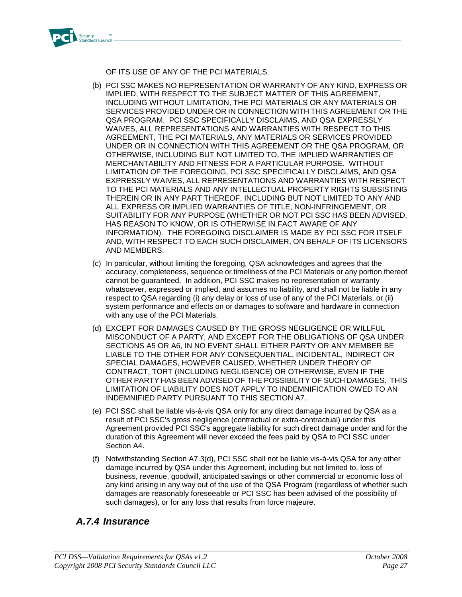

OF ITS USE OF ANY OF THE PCI MATERIALS.

- (b) PCI SSC MAKES NO REPRESENTATION OR WARRANTY OF ANY KIND, EXPRESS OR IMPLIED, WITH RESPECT TO THE SUBJECT MATTER OF THIS AGREEMENT, INCLUDING WITHOUT LIMITATION, THE PCI MATERIALS OR ANY MATERIALS OR SERVICES PROVIDED UNDER OR IN CONNECTION WITH THIS AGREEMENT OR THE QSA PROGRAM. PCI SSC SPECIFICALLY DISCLAIMS, AND QSA EXPRESSLY WAIVES, ALL REPRESENTATIONS AND WARRANTIES WITH RESPECT TO THIS AGREEMENT, THE PCI MATERIALS, ANY MATERIALS OR SERVICES PROVIDED UNDER OR IN CONNECTION WITH THIS AGREEMENT OR THE QSA PROGRAM, OR OTHERWISE, INCLUDING BUT NOT LIMITED TO, THE IMPLIED WARRANTIES OF MERCHANTABILITY AND FITNESS FOR A PARTICULAR PURPOSE. WITHOUT LIMITATION OF THE FOREGOING, PCI SSC SPECIFICALLY DISCLAIMS, AND QSA EXPRESSLY WAIVES, ALL REPRESENTATIONS AND WARRANTIES WITH RESPECT TO THE PCI MATERIALS AND ANY INTELLECTUAL PROPERTY RIGHTS SUBSISTING THEREIN OR IN ANY PART THEREOF, INCLUDING BUT NOT LIMITED TO ANY AND ALL EXPRESS OR IMPLIED WARRANTIES OF TITLE, NON-INFRINGEMENT, OR SUITABILITY FOR ANY PURPOSE (WHETHER OR NOT PCI SSC HAS BEEN ADVISED, HAS REASON TO KNOW, OR IS OTHERWISE IN FACT AWARE OF ANY INFORMATION). THE FOREGOING DISCLAIMER IS MADE BY PCI SSC FOR ITSELF AND, WITH RESPECT TO EACH SUCH DISCLAIMER, ON BEHALF OF ITS LICENSORS AND MEMBERS.
- (c) In particular, without limiting the foregoing, QSA acknowledges and agrees that the accuracy, completeness, sequence or timeliness of the PCI Materials or any portion thereof cannot be guaranteed. In addition, PCI SSC makes no representation or warranty whatsoever, expressed or implied, and assumes no liability, and shall not be liable in any respect to QSA regarding (i) any delay or loss of use of any of the PCI Materials, or (ii) system performance and effects on or damages to software and hardware in connection with any use of the PCI Materials.
- (d) EXCEPT FOR DAMAGES CAUSED BY THE GROSS NEGLIGENCE OR WILLFUL MISCONDUCT OF A PARTY, AND EXCEPT FOR THE OBLIGATIONS OF QSA UNDER SECTIONS A5 OR A6, IN NO EVENT SHALL EITHER PARTY OR ANY MEMBER BE LIABLE TO THE OTHER FOR ANY CONSEQUENTIAL, INCIDENTAL, INDIRECT OR SPECIAL DAMAGES, HOWEVER CAUSED, WHETHER UNDER THEORY OF CONTRACT, TORT (INCLUDING NEGLIGENCE) OR OTHERWISE, EVEN IF THE OTHER PARTY HAS BEEN ADVISED OF THE POSSIBILITY OF SUCH DAMAGES. THIS LIMITATION OF LIABILITY DOES NOT APPLY TO INDEMNIFICATION OWED TO AN INDEMNIFIED PARTY PURSUANT TO THIS SECTION A7.
- (e) PCI SSC shall be liable vis-à-vis QSA only for any direct damage incurred by QSA as a result of PCI SSC's gross negligence (contractual or extra-contractual) under this Agreement provided PCI SSC's aggregate liability for such direct damage under and for the duration of this Agreement will never exceed the fees paid by QSA to PCI SSC under Section A4.
- (f) Notwithstanding Section A7.3(d), PCI SSC shall not be liable vis-à-vis QSA for any other damage incurred by QSA under this Agreement, including but not limited to, loss of business, revenue, goodwill, anticipated savings or other commercial or economic loss of any kind arising in any way out of the use of the QSA Program (regardless of whether such damages are reasonably foreseeable or PCI SSC has been advised of the possibility of such damages), or for any loss that results from force majeure.

### *A.7.4 Insurance*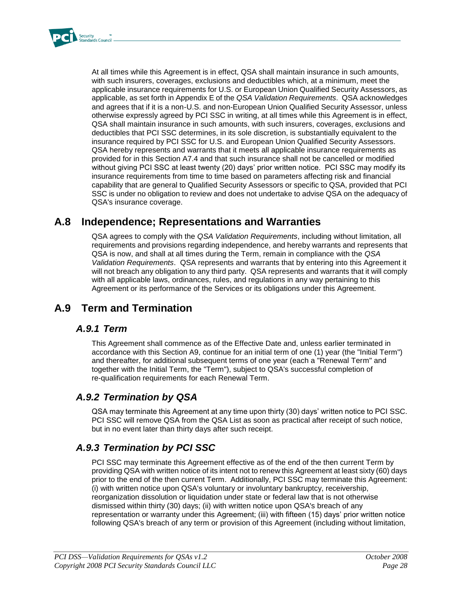

At all times while this Agreement is in effect, QSA shall maintain insurance in such amounts, with such insurers, coverages, exclusions and deductibles which, at a minimum, meet the applicable insurance requirements for U.S. or European Union Qualified Security Assessors, as applicable, as set forth in Appendix E of the *QSA Validation Requirements*. QSA acknowledges and agrees that if it is a non-U.S. and non-European Union Qualified Security Assessor, unless otherwise expressly agreed by PCI SSC in writing, at all times while this Agreement is in effect, QSA shall maintain insurance in such amounts, with such insurers, coverages, exclusions and deductibles that PCI SSC determines, in its sole discretion, is substantially equivalent to the insurance required by PCI SSC for U.S. and European Union Qualified Security Assessors. QSA hereby represents and warrants that it meets all applicable insurance requirements as provided for in this Section A7.4 and that such insurance shall not be cancelled or modified without giving PCI SSC at least twenty (20) days' prior written notice. PCI SSC may modify its insurance requirements from time to time based on parameters affecting risk and financial capability that are general to Qualified Security Assessors or specific to QSA, provided that PCI SSC is under no obligation to review and does not undertake to advise QSA on the adequacy of QSA's insurance coverage.

## **A.8 Independence; Representations and Warranties**

QSA agrees to comply with the *QSA Validation Requirements*, including without limitation, all requirements and provisions regarding independence, and hereby warrants and represents that QSA is now, and shall at all times during the Term, remain in compliance with the *QSA Validation Requirements*. QSA represents and warrants that by entering into this Agreement it will not breach any obligation to any third party. QSA represents and warrants that it will comply with all applicable laws, ordinances, rules, and regulations in any way pertaining to this Agreement or its performance of the Services or its obligations under this Agreement.

## **A.9 Term and Termination**

#### *A.9.1 Term*

This Agreement shall commence as of the Effective Date and, unless earlier terminated in accordance with this Section A9, continue for an initial term of one (1) year (the "Initial Term") and thereafter, for additional subsequent terms of one year (each a "Renewal Term" and together with the Initial Term, the "Term"), subject to QSA's successful completion of re-qualification requirements for each Renewal Term.

### *A.9.2 Termination by QSA*

QSA may terminate this Agreement at any time upon thirty (30) days' written notice to PCI SSC. PCI SSC will remove QSA from the QSA List as soon as practical after receipt of such notice, but in no event later than thirty days after such receipt.

## *A.9.3 Termination by PCI SSC*

PCI SSC may terminate this Agreement effective as of the end of the then current Term by providing QSA with written notice of its intent not to renew this Agreement at least sixty (60) days prior to the end of the then current Term. Additionally, PCI SSC may terminate this Agreement: (i) with written notice upon QSA's voluntary or involuntary bankruptcy, receivership, reorganization dissolution or liquidation under state or federal law that is not otherwise dismissed within thirty (30) days; (ii) with written notice upon QSA's breach of any representation or warranty under this Agreement; (iii) with fifteen (15) days' prior written notice following QSA's breach of any term or provision of this Agreement (including without limitation,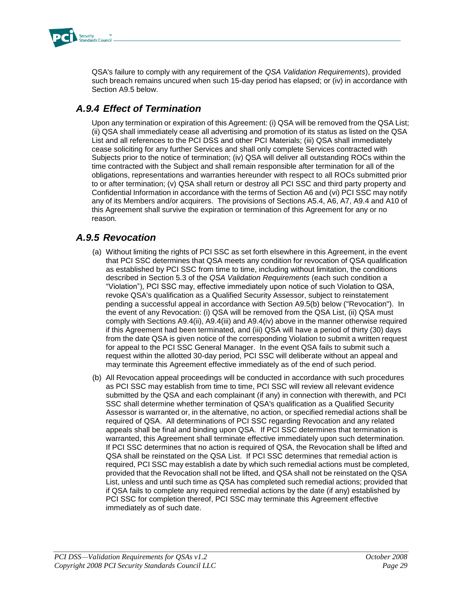

QSA's failure to comply with any requirement of the *QSA Validation Requirements*), provided such breach remains uncured when such 15-day period has elapsed; or (iv) in accordance with Section A9.5 below.

## *A.9.4 Effect of Termination*

Upon any termination or expiration of this Agreement: (i) QSA will be removed from the QSA List; (ii) QSA shall immediately cease all advertising and promotion of its status as listed on the QSA List and all references to the PCI DSS and other PCI Materials; (iii) QSA shall immediately cease soliciting for any further Services and shall only complete Services contracted with Subjects prior to the notice of termination; (iv) QSA will deliver all outstanding ROCs within the time contracted with the Subject and shall remain responsible after termination for all of the obligations, representations and warranties hereunder with respect to all ROCs submitted prior to or after termination; (v) QSA shall return or destroy all PCI SSC and third party property and Confidential Information in accordance with the terms of Section A6 and (vi) PCI SSC may notify any of its Members and/or acquirers. The provisions of Sections A5.4, A6, A7, A9.4 and A10 of this Agreement shall survive the expiration or termination of this Agreement for any or no reason.

### *A.9.5 Revocation*

- (a) Without limiting the rights of PCI SSC as set forth elsewhere in this Agreement, in the event that PCI SSC determines that QSA meets any condition for revocation of QSA qualification as established by PCI SSC from time to time, including without limitation, the conditions described in Section 5.3 of the *QSA Validation Requirements* (each such condition a "Violation"), PCI SSC may, effective immediately upon notice of such Violation to QSA, revoke QSA's qualification as a Qualified Security Assessor, subject to reinstatement pending a successful appeal in accordance with Section A9.5(b) below ("Revocation"). In the event of any Revocation: (i) QSA will be removed from the QSA List, (ii) QSA must comply with Sections A9.4(ii), A9.4(iii) and A9.4(iv) above in the manner otherwise required if this Agreement had been terminated, and (iii) QSA will have a period of thirty (30) days from the date QSA is given notice of the corresponding Violation to submit a written request for appeal to the PCI SSC General Manager. In the event QSA fails to submit such a request within the allotted 30-day period, PCI SSC will deliberate without an appeal and may terminate this Agreement effective immediately as of the end of such period.
- (b) All Revocation appeal proceedings will be conducted in accordance with such procedures as PCI SSC may establish from time to time, PCI SSC will review all relevant evidence submitted by the QSA and each complainant (if any) in connection with therewith, and PCI SSC shall determine whether termination of QSA's qualification as a Qualified Security Assessor is warranted or, in the alternative, no action, or specified remedial actions shall be required of QSA. All determinations of PCI SSC regarding Revocation and any related appeals shall be final and binding upon QSA. If PCI SSC determines that termination is warranted, this Agreement shall terminate effective immediately upon such determination. If PCI SSC determines that no action is required of QSA, the Revocation shall be lifted and QSA shall be reinstated on the QSA List. If PCI SSC determines that remedial action is required, PCI SSC may establish a date by which such remedial actions must be completed, provided that the Revocation shall not be lifted, and QSA shall not be reinstated on the QSA List, unless and until such time as QSA has completed such remedial actions; provided that if QSA fails to complete any required remedial actions by the date (if any) established by PCI SSC for completion thereof, PCI SSC may terminate this Agreement effective immediately as of such date.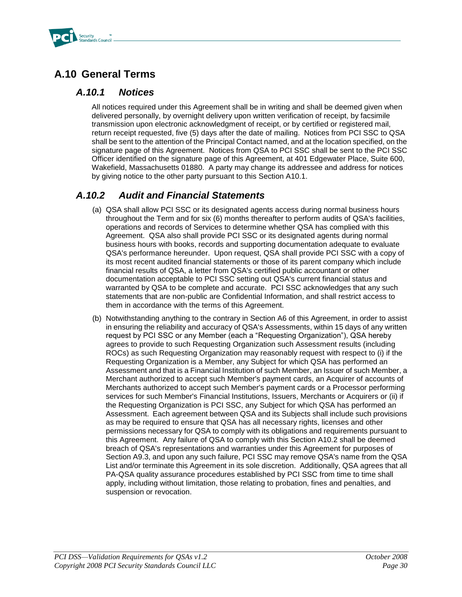

## **A.10 General Terms**

#### *A.10.1 Notices*

All notices required under this Agreement shall be in writing and shall be deemed given when delivered personally, by overnight delivery upon written verification of receipt, by facsimile transmission upon electronic acknowledgment of receipt, or by certified or registered mail, return receipt requested, five (5) days after the date of mailing. Notices from PCI SSC to QSA shall be sent to the attention of the Principal Contact named, and at the location specified, on the signature page of this Agreement. Notices from QSA to PCI SSC shall be sent to the PCI SSC Officer identified on the signature page of this Agreement, at 401 Edgewater Place, Suite 600, Wakefield, Massachusetts 01880. A party may change its addressee and address for notices by giving notice to the other party pursuant to this Section A10.1.

## *A.10.2 Audit and Financial Statements*

- (a) QSA shall allow PCI SSC or its designated agents access during normal business hours throughout the Term and for six (6) months thereafter to perform audits of QSA's facilities, operations and records of Services to determine whether QSA has complied with this Agreement. QSA also shall provide PCI SSC or its designated agents during normal business hours with books, records and supporting documentation adequate to evaluate QSA's performance hereunder. Upon request, QSA shall provide PCI SSC with a copy of its most recent audited financial statements or those of its parent company which include financial results of QSA, a letter from QSA's certified public accountant or other documentation acceptable to PCI SSC setting out QSA's current financial status and warranted by QSA to be complete and accurate. PCI SSC acknowledges that any such statements that are non-public are Confidential Information, and shall restrict access to them in accordance with the terms of this Agreement.
- (b) Notwithstanding anything to the contrary in Section A6 of this Agreement, in order to assist in ensuring the reliability and accuracy of QSA's Assessments, within 15 days of any written request by PCI SSC or any Member (each a "Requesting Organization"), QSA hereby agrees to provide to such Requesting Organization such Assessment results (including ROCs) as such Requesting Organization may reasonably request with respect to (i) if the Requesting Organization is a Member, any Subject for which QSA has performed an Assessment and that is a Financial Institution of such Member, an Issuer of such Member, a Merchant authorized to accept such Member's payment cards, an Acquirer of accounts of Merchants authorized to accept such Member's payment cards or a Processor performing services for such Member's Financial Institutions, Issuers, Merchants or Acquirers or (ii) if the Requesting Organization is PCI SSC, any Subject for which QSA has performed an Assessment. Each agreement between QSA and its Subjects shall include such provisions as may be required to ensure that QSA has all necessary rights, licenses and other permissions necessary for QSA to comply with its obligations and requirements pursuant to this Agreement. Any failure of QSA to comply with this Section A10.2 shall be deemed breach of QSA's representations and warranties under this Agreement for purposes of Section A9.3, and upon any such failure, PCI SSC may remove QSA's name from the QSA List and/or terminate this Agreement in its sole discretion. Additionally, QSA agrees that all PA-QSA quality assurance procedures established by PCI SSC from time to time shall apply, including without limitation, those relating to probation, fines and penalties, and suspension or revocation.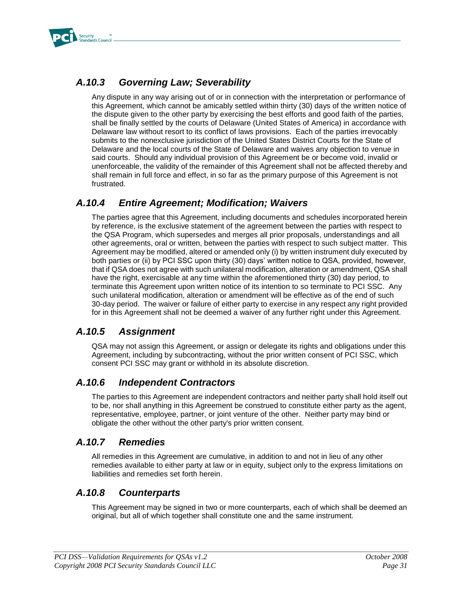

## *A.10.3 Governing Law; Severability*

Any dispute in any way arising out of or in connection with the interpretation or performance of this Agreement, which cannot be amicably settled within thirty (30) days of the written notice of the dispute given to the other party by exercising the best efforts and good faith of the parties, shall be finally settled by the courts of Delaware (United States of America) in accordance with Delaware law without resort to its conflict of laws provisions. Each of the parties irrevocably submits to the nonexclusive jurisdiction of the United States District Courts for the State of Delaware and the local courts of the State of Delaware and waives any objection to venue in said courts. Should any individual provision of this Agreement be or become void, invalid or unenforceable, the validity of the remainder of this Agreement shall not be affected thereby and shall remain in full force and effect, in so far as the primary purpose of this Agreement is not frustrated.

### *A.10.4 Entire Agreement; Modification; Waivers*

The parties agree that this Agreement, including documents and schedules incorporated herein by reference, is the exclusive statement of the agreement between the parties with respect to the QSA Program, which supersedes and merges all prior proposals, understandings and all other agreements, oral or written, between the parties with respect to such subject matter. This Agreement may be modified, altered or amended only (i) by written instrument duly executed by both parties or (ii) by PCI SSC upon thirty (30) days' written notice to QSA, provided, however, that if QSA does not agree with such unilateral modification, alteration or amendment, QSA shall have the right, exercisable at any time within the aforementioned thirty (30) day period, to terminate this Agreement upon written notice of its intention to so terminate to PCI SSC. Any such unilateral modification, alteration or amendment will be effective as of the end of such 30-day period. The waiver or failure of either party to exercise in any respect any right provided for in this Agreement shall not be deemed a waiver of any further right under this Agreement.

### *A.10.5 Assignment*

QSA may not assign this Agreement, or assign or delegate its rights and obligations under this Agreement, including by subcontracting, without the prior written consent of PCI SSC, which consent PCI SSC may grant or withhold in its absolute discretion.

### *A.10.6 Independent Contractors*

The parties to this Agreement are independent contractors and neither party shall hold itself out to be, nor shall anything in this Agreement be construed to constitute either party as the agent, representative, employee, partner, or joint venture of the other. Neither party may bind or obligate the other without the other party's prior written consent.

### *A.10.7 Remedies*

All remedies in this Agreement are cumulative, in addition to and not in lieu of any other remedies available to either party at law or in equity, subject only to the express limitations on liabilities and remedies set forth herein.

### *A.10.8 Counterparts*

This Agreement may be signed in two or more counterparts, each of which shall be deemed an original, but all of which together shall constitute one and the same instrument.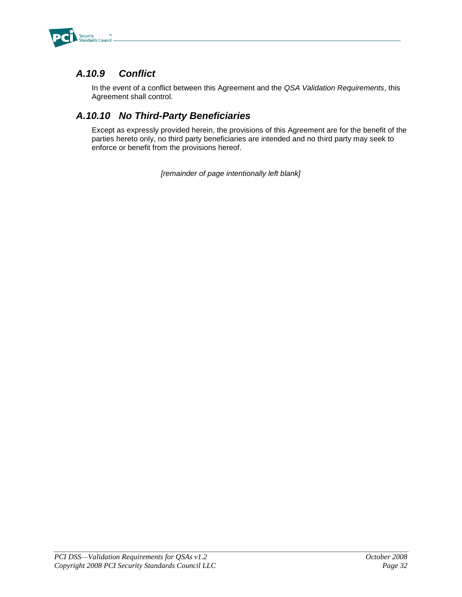

## *A.10.9 Conflict*

In the event of a conflict between this Agreement and the *QSA Validation Requirements*, this Agreement shall control.

## *A.10.10 No Third-Party Beneficiaries*

Except as expressly provided herein, the provisions of this Agreement are for the benefit of the parties hereto only, no third party beneficiaries are intended and no third party may seek to enforce or benefit from the provisions hereof.

*[remainder of page intentionally left blank]*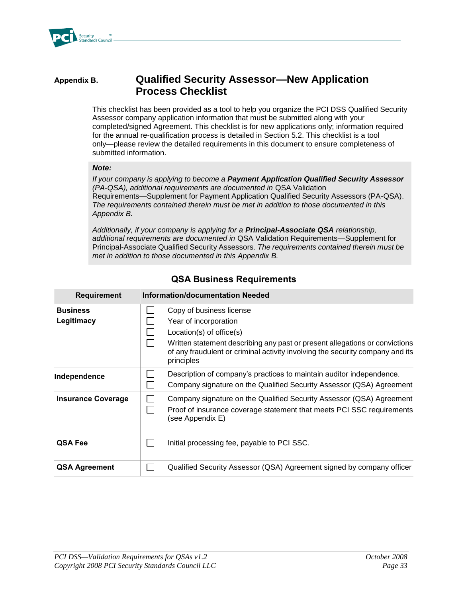

#### **Appendix B. Qualified Security Assessor—New Application Process Checklist**

This checklist has been provided as a tool to help you organize the PCI DSS Qualified Security Assessor company application information that must be submitted along with your completed/signed Agreement. This checklist is for new applications only; information required for the annual re-qualification process is detailed in Section 5.2. This checklist is a tool only—please review the detailed requirements in this document to ensure completeness of submitted information.

#### *Note:*

*If your company is applying to become a Payment Application Qualified Security Assessor (PA-QSA), additional requirements are documented in* QSA Validation Requirements—Supplement for Payment Application Qualified Security Assessors (PA-QSA). *The requirements contained therein must be met in addition to those documented in this Appendix B.* 

*Additionally, if your company is applying for a Principal-Associate QSA relationship, additional requirements are documented in* QSA Validation Requirements—Supplement for Principal-Associate Qualified Security Assessors*. The requirements contained therein must be met in addition to those documented in this Appendix B.* 

| <b>Requirement</b>            | <b>Information/documentation Needed</b>                                                                                                                                                                                                                          |  |
|-------------------------------|------------------------------------------------------------------------------------------------------------------------------------------------------------------------------------------------------------------------------------------------------------------|--|
| <b>Business</b><br>Legitimacy | Copy of business license<br>Year of incorporation<br>$Location(s)$ of office $(s)$<br>Written statement describing any past or present allegations or convictions<br>of any fraudulent or criminal activity involving the security company and its<br>principles |  |
| Independence                  | Description of company's practices to maintain auditor independence.<br>Company signature on the Qualified Security Assessor (QSA) Agreement                                                                                                                     |  |
| <b>Insurance Coverage</b>     | Company signature on the Qualified Security Assessor (QSA) Agreement<br>Proof of insurance coverage statement that meets PCI SSC requirements<br>(see Appendix E)                                                                                                |  |
| QSA Fee                       | Initial processing fee, payable to PCI SSC.                                                                                                                                                                                                                      |  |
| <b>QSA Agreement</b>          | Qualified Security Assessor (QSA) Agreement signed by company officer                                                                                                                                                                                            |  |

#### **QSA Business Requirements**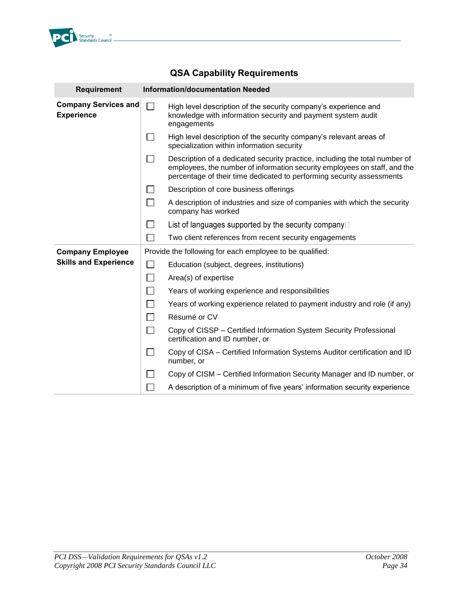

## **QSA Capability Requirements**

| <b>Requirement</b>                               |                   | <b>Information/documentation Needed</b>                                                                                                                                                                                           |
|--------------------------------------------------|-------------------|-----------------------------------------------------------------------------------------------------------------------------------------------------------------------------------------------------------------------------------|
| <b>Company Services and</b><br><b>Experience</b> | П                 | High level description of the security company's experience and<br>knowledge with information security and payment system audit<br>engagements                                                                                    |
|                                                  | $\mathsf{L}$      | High level description of the security company's relevant areas of<br>specialization within information security                                                                                                                  |
|                                                  |                   | Description of a dedicated security practice, including the total number of<br>employees, the number of information security employees on staff, and the<br>percentage of their time dedicated to performing security assessments |
|                                                  |                   | Description of core business offerings                                                                                                                                                                                            |
|                                                  | $\Box$            | A description of industries and size of companies with which the security<br>company has worked                                                                                                                                   |
|                                                  |                   | List of languages supported by the security company $\square$                                                                                                                                                                     |
|                                                  |                   | Two client references from recent security engagements                                                                                                                                                                            |
| <b>Company Employee</b>                          |                   | Provide the following for each employee to be qualified:                                                                                                                                                                          |
| <b>Skills and Experience</b>                     | ப                 | Education (subject, degrees, institutions)                                                                                                                                                                                        |
|                                                  | $\Box$            | Area(s) of expertise                                                                                                                                                                                                              |
|                                                  |                   | Years of working experience and responsibilities                                                                                                                                                                                  |
|                                                  | $\vert \ \ \vert$ | Years of working experience related to payment industry and role (if any)                                                                                                                                                         |
|                                                  | $\Box$            | Résumé or CV                                                                                                                                                                                                                      |
|                                                  | $\Box$            | Copy of CISSP – Certified Information System Security Professional<br>certification and ID number, or                                                                                                                             |
|                                                  |                   | Copy of CISA – Certified Information Systems Auditor certification and ID<br>number, or                                                                                                                                           |
|                                                  |                   | Copy of CISM – Certified Information Security Manager and ID number, or                                                                                                                                                           |
|                                                  |                   | A description of a minimum of five years' information security experience                                                                                                                                                         |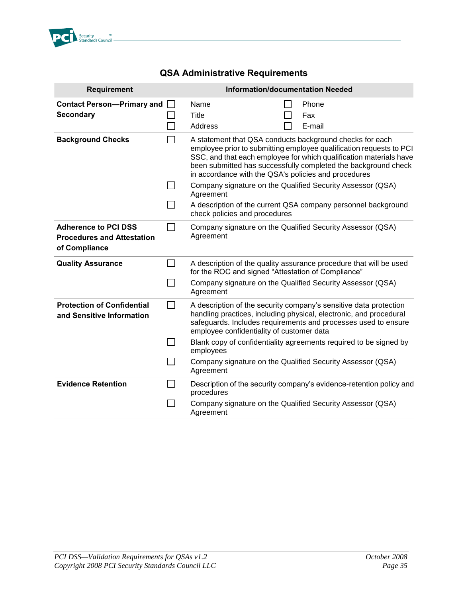

## **QSA Administrative Requirements**

| <b>Requirement</b>                                                                |                                                                                                                                                                                                                                                                                                                                                                    | <b>Information/documentation Needed</b>                                                                                                                                                                                                                                                                                                                                                                                                                                                                      |                                                                     |  |  |
|-----------------------------------------------------------------------------------|--------------------------------------------------------------------------------------------------------------------------------------------------------------------------------------------------------------------------------------------------------------------------------------------------------------------------------------------------------------------|--------------------------------------------------------------------------------------------------------------------------------------------------------------------------------------------------------------------------------------------------------------------------------------------------------------------------------------------------------------------------------------------------------------------------------------------------------------------------------------------------------------|---------------------------------------------------------------------|--|--|
| <b>Contact Person-Primary and</b><br><b>Secondary</b>                             | $\Box$<br>$\mathsf{L}$<br>$\Box$                                                                                                                                                                                                                                                                                                                                   | Name<br>Title<br>Address                                                                                                                                                                                                                                                                                                                                                                                                                                                                                     | Phone<br>Fax<br>E-mail                                              |  |  |
| <b>Background Checks</b>                                                          | П<br>$\mathbf{I}$                                                                                                                                                                                                                                                                                                                                                  | A statement that QSA conducts background checks for each<br>employee prior to submitting employee qualification requests to PCI<br>SSC, and that each employee for which qualification materials have<br>been submitted has successfully completed the background check<br>in accordance with the QSA's policies and procedures<br>Company signature on the Qualified Security Assessor (QSA)<br>Agreement<br>A description of the current QSA company personnel background<br>check policies and procedures |                                                                     |  |  |
| <b>Adherence to PCI DSS</b><br><b>Procedures and Attestation</b><br>of Compliance | $\Box$                                                                                                                                                                                                                                                                                                                                                             | Company signature on the Qualified Security Assessor (QSA)<br>Agreement                                                                                                                                                                                                                                                                                                                                                                                                                                      |                                                                     |  |  |
| <b>Quality Assurance</b>                                                          | $\Box$                                                                                                                                                                                                                                                                                                                                                             | A description of the quality assurance procedure that will be used<br>for the ROC and signed "Attestation of Compliance"                                                                                                                                                                                                                                                                                                                                                                                     |                                                                     |  |  |
|                                                                                   | $\perp$                                                                                                                                                                                                                                                                                                                                                            | Company signature on the Qualified Security Assessor (QSA)<br>Agreement                                                                                                                                                                                                                                                                                                                                                                                                                                      |                                                                     |  |  |
| <b>Protection of Confidential</b><br>and Sensitive Information                    | $\Box$<br>A description of the security company's sensitive data protection<br>handling practices, including physical, electronic, and procedural<br>safeguards. Includes requirements and processes used to ensure<br>employee confidentiality of customer data<br>Blank copy of confidentiality agreements required to be signed by<br>$\mathsf{L}$<br>employees |                                                                                                                                                                                                                                                                                                                                                                                                                                                                                                              |                                                                     |  |  |
|                                                                                   | $\mathsf{L}$                                                                                                                                                                                                                                                                                                                                                       | Agreement                                                                                                                                                                                                                                                                                                                                                                                                                                                                                                    | Company signature on the Qualified Security Assessor (QSA)          |  |  |
| <b>Evidence Retention</b>                                                         | $\Box$                                                                                                                                                                                                                                                                                                                                                             | procedures                                                                                                                                                                                                                                                                                                                                                                                                                                                                                                   | Description of the security company's evidence-retention policy and |  |  |
|                                                                                   | $\mathsf{L}$                                                                                                                                                                                                                                                                                                                                                       | Agreement                                                                                                                                                                                                                                                                                                                                                                                                                                                                                                    | Company signature on the Qualified Security Assessor (QSA)          |  |  |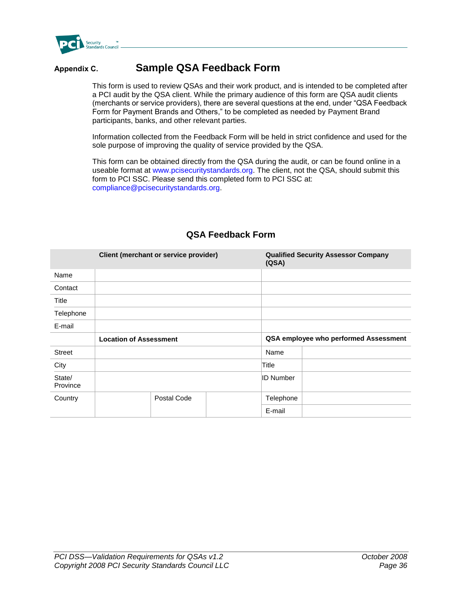

## **Appendix C. Sample QSA Feedback Form**

This form is used to review QSAs and their work product, and is intended to be completed after a PCI audit by the QSA client. While the primary audience of this form are QSA audit clients (merchants or service providers), there are several questions at the end, under "QSA Feedback Form for Payment Brands and Others," to be completed as needed by Payment Brand participants, banks, and other relevant parties.

Information collected from the Feedback Form will be held in strict confidence and used for the sole purpose of improving the quality of service provided by the QSA.

This form can be obtained directly from the QSA during the audit, or can be found online in a useable format at www.pcisecuritystandards.org. The client, not the QSA, should submit this form to PCI SSC. Please send this completed form to PCI SSC at: compliance@pcisecuritystandards.org.

|                    | Client (merchant or service provider) | (QSA) | <b>Qualified Security Assessor Company</b> |                                       |
|--------------------|---------------------------------------|-------|--------------------------------------------|---------------------------------------|
| Name               |                                       |       |                                            |                                       |
| Contact            |                                       |       |                                            |                                       |
| Title              |                                       |       |                                            |                                       |
| Telephone          |                                       |       |                                            |                                       |
| E-mail             |                                       |       |                                            |                                       |
|                    | <b>Location of Assessment</b>         |       |                                            | QSA employee who performed Assessment |
| <b>Street</b>      |                                       |       | Name                                       |                                       |
| City               |                                       |       | Title                                      |                                       |
| State/<br>Province |                                       |       | <b>ID Number</b>                           |                                       |
| Country            | Postal Code                           |       | Telephone                                  |                                       |
|                    |                                       |       | E-mail                                     |                                       |

#### **QSA Feedback Form**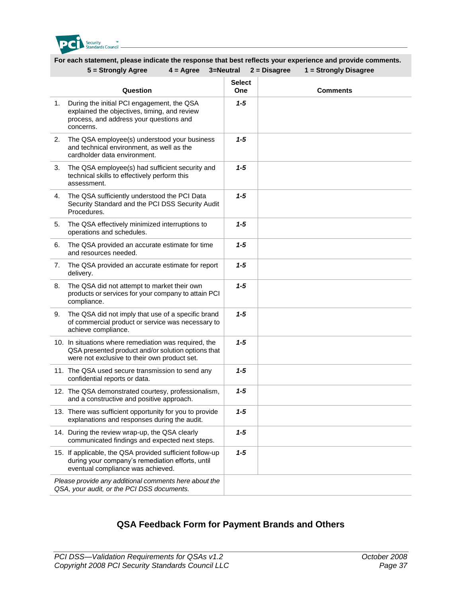

#### **For each statement, please indicate the response that best reflects your experience and provide comments. 5 = Strongly Agree 4 = Agree 3=Neutral 2 = Disagree 1 = Strongly Disagree**

|    | ง – งแบเพาเท มนิเธ<br>+ – Ayıca                                                                                                                             | $J=19G$ ulial        | $L - U \cdot \text{Say} \cdot \text{CE}$<br>u – Juvilyly Disayicc |
|----|-------------------------------------------------------------------------------------------------------------------------------------------------------------|----------------------|-------------------------------------------------------------------|
|    | Question                                                                                                                                                    | <b>Select</b><br>One | <b>Comments</b>                                                   |
| 1. | During the initial PCI engagement, the QSA<br>explained the objectives, timing, and review<br>process, and address your questions and<br>concerns.          | $1 - 5$              |                                                                   |
| 2. | The QSA employee(s) understood your business<br>and technical environment, as well as the<br>cardholder data environment.                                   | $1 - 5$              |                                                                   |
| 3. | The QSA employee(s) had sufficient security and<br>technical skills to effectively perform this<br>assessment.                                              | 1-5                  |                                                                   |
| 4. | The QSA sufficiently understood the PCI Data<br>Security Standard and the PCI DSS Security Audit<br>Procedures.                                             | $1 - 5$              |                                                                   |
| 5. | The QSA effectively minimized interruptions to<br>operations and schedules.                                                                                 | $1 - 5$              |                                                                   |
| 6. | The QSA provided an accurate estimate for time<br>and resources needed.                                                                                     | $1 - 5$              |                                                                   |
| 7. | The QSA provided an accurate estimate for report<br>delivery.                                                                                               | $1 - 5$              |                                                                   |
| 8. | The QSA did not attempt to market their own<br>products or services for your company to attain PCI<br>compliance.                                           | $1 - 5$              |                                                                   |
| 9. | The QSA did not imply that use of a specific brand<br>of commercial product or service was necessary to<br>achieve compliance.                              | $1 - 5$              |                                                                   |
|    | 10. In situations where remediation was required, the<br>QSA presented product and/or solution options that<br>were not exclusive to their own product set. | $1 - 5$              |                                                                   |
|    | 11. The QSA used secure transmission to send any<br>confidential reports or data.                                                                           | $1 - 5$              |                                                                   |
|    | 12. The QSA demonstrated courtesy, professionalism,<br>and a constructive and positive approach.                                                            | $1 - 5$              |                                                                   |
|    | 13. There was sufficient opportunity for you to provide<br>explanations and responses during the audit.                                                     | 1-5                  |                                                                   |
|    | 14. During the review wrap-up, the QSA clearly<br>communicated findings and expected next steps.                                                            | $1 - 5$              |                                                                   |
|    | 15. If applicable, the QSA provided sufficient follow-up<br>during your company's remediation efforts, until<br>eventual compliance was achieved.           | $1 - 5$              |                                                                   |
|    | Please provide any additional comments here about the<br>QSA, your audit, or the PCI DSS documents.                                                         |                      |                                                                   |
|    |                                                                                                                                                             |                      |                                                                   |

#### **QSA Feedback Form for Payment Brands and Others**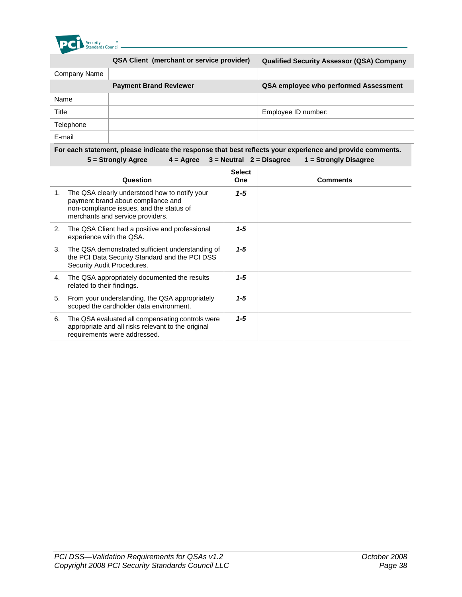

|              | <b>QSA Client (merchant or service provider)</b> | <b>Qualified Security Assessor (QSA) Company</b> |
|--------------|--------------------------------------------------|--------------------------------------------------|
| Company Name |                                                  |                                                  |
|              | <b>Payment Brand Reviewer</b>                    | QSA employee who performed Assessment            |
| Name         |                                                  |                                                  |
| Title        |                                                  | Employee ID number:                              |
| Telephone    |                                                  |                                                  |
| E-mail       |                                                  |                                                  |

#### **For each statement, please indicate the response that best reflects your experience and provide comments. 5 = Strongly Agree 4 = Agree 3 = Neutral 2 = Disagree 1 = Strongly Disagree**

|    | Question                                                                                                                                                            | <b>Select</b><br><b>One</b> | <b>Comments</b> |
|----|---------------------------------------------------------------------------------------------------------------------------------------------------------------------|-----------------------------|-----------------|
| 1. | The QSA clearly understood how to notify your<br>payment brand about compliance and<br>non-compliance issues, and the status of<br>merchants and service providers. | $1 - 5$                     |                 |
| 2. | The QSA Client had a positive and professional<br>experience with the QSA.                                                                                          | $1 - 5$                     |                 |
| 3. | The QSA demonstrated sufficient understanding of<br>the PCI Data Security Standard and the PCI DSS<br>Security Audit Procedures.                                    | $1 - 5$                     |                 |
| 4. | The QSA appropriately documented the results<br>related to their findings.                                                                                          | $1 - 5$                     |                 |
| 5. | From your understanding, the QSA appropriately<br>scoped the cardholder data environment.                                                                           | $1 - 5$                     |                 |
| 6. | The QSA evaluated all compensating controls were<br>appropriate and all risks relevant to the original<br>requirements were addressed.                              | $1 - 5$                     |                 |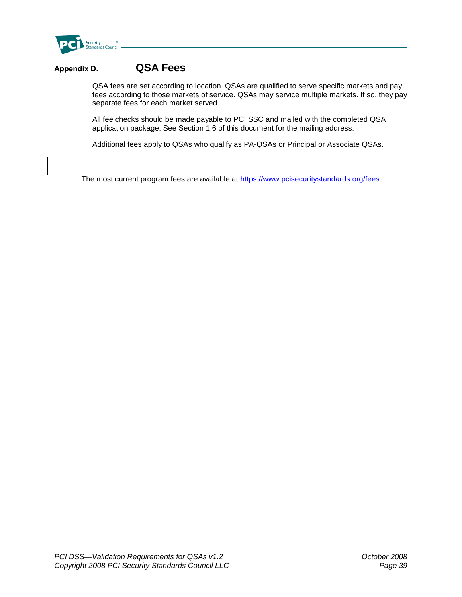

## **Appendix D. QSA Fees**

QSA fees are set according to location. QSAs are qualified to serve specific markets and pay fees according to those markets of service. QSAs may service multiple markets. If so, they pay separate fees for each market served.

All fee checks should be made payable to PCI SSC and mailed with the completed QSA application package. See Section 1.6 of this document for the mailing address.

Additional fees apply to QSAs who qualify as PA-QSAs or Principal or Associate QSAs.

The most current program fees are available at <https://www.pcisecuritystandards.org/fees>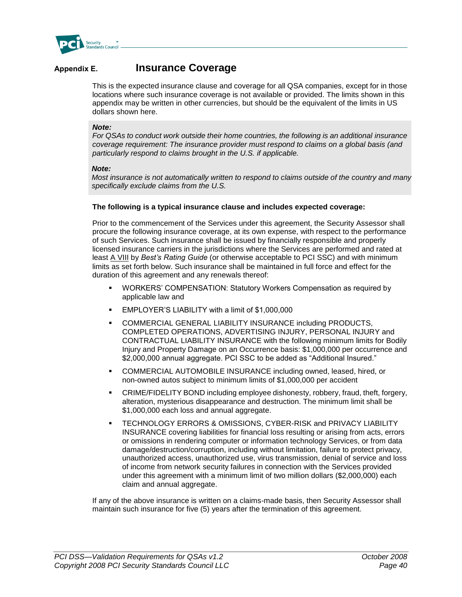

### **Appendix E. Insurance Coverage**

This is the expected insurance clause and coverage for all QSA companies, except for in those locations where such insurance coverage is not available or provided. The limits shown in this appendix may be written in other currencies, but should be the equivalent of the limits in US dollars shown here.

#### *Note:*

For QSAs to conduct work outside their home countries, the following is an additional *insurance coverage requirement: The insurance provider must respond to claims on a global basis (and particularly respond to claims brought in the U.S. if applicable.*

#### *Note:*

*Most insurance is not automatically written to respond to claims outside of the country and many specifically exclude claims from the U.S.*

#### **The following is a typical insurance clause and includes expected coverage:**

Prior to the commencement of the Services under this agreement, the Security Assessor shall procure the following insurance coverage, at its own expense, with respect to the performance of such Services. Such insurance shall be issued by financially responsible and properly licensed insurance carriers in the jurisdictions where the Services are performed and rated at least A VIII by *Best's Rating Guide* (or otherwise acceptable to PCI SSC) and with minimum limits as set forth below. Such insurance shall be maintained in full force and effect for the duration of this agreement and any renewals thereof:

- WORKERS' COMPENSATION: Statutory Workers Compensation as required by applicable law and
- **EMPLOYER'S LIABILITY with a limit of \$1,000,000**
- COMMERCIAL GENERAL LIABILITY INSURANCE including PRODUCTS, COMPLETED OPERATIONS, ADVERTISING INJURY, PERSONAL INJURY and CONTRACTUAL LIABILITY INSURANCE with the following minimum limits for Bodily Injury and Property Damage on an Occurrence basis: \$1,000,000 per occurrence and \$2,000,000 annual aggregate. PCI SSC to be added as "Additional Insured."
- COMMERCIAL AUTOMOBILE INSURANCE including owned, leased, hired, or non-owned autos subject to minimum limits of \$1,000,000 per accident
- CRIME/FIDELITY BOND including employee dishonesty, robbery, fraud, theft, forgery, alteration, mysterious disappearance and destruction. The minimum limit shall be \$1,000,000 each loss and annual aggregate.
- TECHNOLOGY ERRORS & OMISSIONS, CYBER-RISK and PRIVACY LIABILITY INSURANCE covering liabilities for financial loss resulting or arising from acts, errors or omissions in rendering computer or information technology Services, or from data damage/destruction/corruption, including without limitation, failure to protect privacy, unauthorized access, unauthorized use, virus transmission, denial of service and loss of income from network security failures in connection with the Services provided under this agreement with a minimum limit of two million dollars (\$2,000,000) each claim and annual aggregate.

If any of the above insurance is written on a claims-made basis, then Security Assessor shall maintain such insurance for five (5) years after the termination of this agreement.